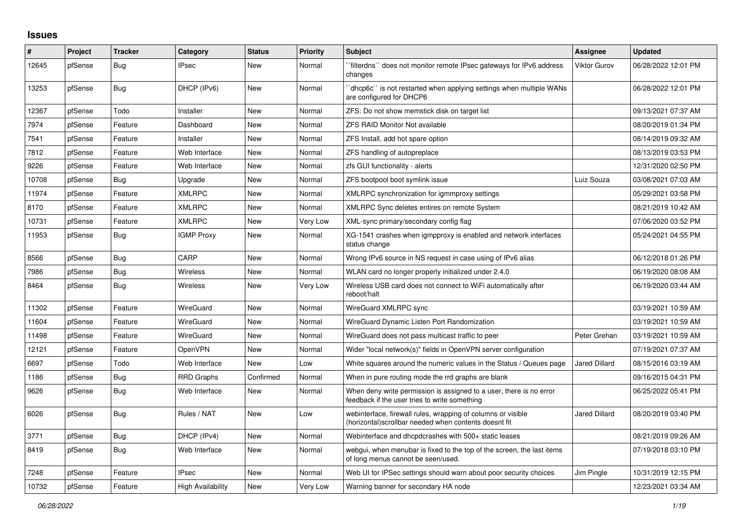## **Issues**

| #     | Project | <b>Tracker</b> | Category                 | <b>Status</b> | <b>Priority</b> | <b>Subject</b>                                                                                                         | <b>Assignee</b>      | <b>Updated</b>      |
|-------|---------|----------------|--------------------------|---------------|-----------------|------------------------------------------------------------------------------------------------------------------------|----------------------|---------------------|
| 12645 | pfSense | <b>Bug</b>     | <b>IPsec</b>             | <b>New</b>    | Normal          | `filterdns`` does not monitor remote IPsec gateways for IPv6 address<br>changes                                        | Viktor Gurov         | 06/28/2022 12:01 PM |
| 13253 | pfSense | <b>Bug</b>     | DHCP (IPv6)              | <b>New</b>    | Normal          | dhcp6c" is not restarted when applying settings when multiple WANs<br>are configured for DHCP6                         |                      | 06/28/2022 12:01 PM |
| 12367 | pfSense | Todo           | Installer                | <b>New</b>    | Normal          | ZFS: Do not show memstick disk on target list                                                                          |                      | 09/13/2021 07:37 AM |
| 7974  | pfSense | Feature        | Dashboard                | <b>New</b>    | Normal          | <b>ZFS RAID Monitor Not available</b>                                                                                  |                      | 08/20/2019 01:34 PM |
| 7541  | pfSense | Feature        | Installer                | <b>New</b>    | Normal          | ZFS Install, add hot spare option                                                                                      |                      | 08/14/2019 09:32 AM |
| 7812  | pfSense | Feature        | Web Interface            | <b>New</b>    | Normal          | ZFS handling of autopreplace                                                                                           |                      | 08/13/2019 03:53 PM |
| 9226  | pfSense | Feature        | Web Interface            | New           | Normal          | zfs GUI functionality - alerts                                                                                         |                      | 12/31/2020 02:50 PM |
| 10708 | pfSense | <b>Bug</b>     | Upgrade                  | <b>New</b>    | Normal          | ZFS bootpool boot symlink issue                                                                                        | Luiz Souza           | 03/08/2021 07:03 AM |
| 11974 | pfSense | Feature        | <b>XMLRPC</b>            | <b>New</b>    | Normal          | XMLRPC synchronization for igmmproxy settings                                                                          |                      | 05/29/2021 03:58 PM |
| 8170  | pfSense | Feature        | <b>XMLRPC</b>            | New           | Normal          | XMLRPC Sync deletes entires on remote System                                                                           |                      | 08/21/2019 10:42 AM |
| 10731 | pfSense | Feature        | <b>XMLRPC</b>            | <b>New</b>    | Very Low        | XML-sync primary/secondary config flag                                                                                 |                      | 07/06/2020 03:52 PM |
| 11953 | pfSense | Bug            | <b>IGMP Proxy</b>        | <b>New</b>    | Normal          | XG-1541 crashes when igmpproxy is enabled and network interfaces<br>status change                                      |                      | 05/24/2021 04:55 PM |
| 8566  | pfSense | Bug            | CARP                     | <b>New</b>    | Normal          | Wrong IPv6 source in NS request in case using of IPv6 alias                                                            |                      | 06/12/2018 01:26 PM |
| 7986  | pfSense | Bug            | <b>Wireless</b>          | <b>New</b>    | Normal          | WLAN card no longer properly initialized under 2.4.0                                                                   |                      | 06/19/2020 08:08 AM |
| 8464  | pfSense | Bug            | <b>Wireless</b>          | <b>New</b>    | Very Low        | Wireless USB card does not connect to WiFi automatically after<br>reboot/halt                                          |                      | 06/19/2020 03:44 AM |
| 11302 | pfSense | Feature        | <b>WireGuard</b>         | <b>New</b>    | Normal          | WireGuard XMLRPC sync                                                                                                  |                      | 03/19/2021 10:59 AM |
| 11604 | pfSense | Feature        | <b>WireGuard</b>         | New           | Normal          | WireGuard Dynamic Listen Port Randomization                                                                            |                      | 03/19/2021 10:59 AM |
| 11498 | pfSense | Feature        | <b>WireGuard</b>         | New           | Normal          | WireGuard does not pass multicast traffic to peer                                                                      | Peter Grehan         | 03/19/2021 10:59 AM |
| 12121 | pfSense | Feature        | OpenVPN                  | <b>New</b>    | Normal          | Wider "local network(s)" fields in OpenVPN server configuration                                                        |                      | 07/19/2021 07:37 AM |
| 6697  | pfSense | Todo           | Web Interface            | <b>New</b>    | Low             | White squares around the numeric values in the Status / Queues page                                                    | Jared Dillard        | 08/15/2016 03:19 AM |
| 1186  | pfSense | Bug            | <b>RRD Graphs</b>        | Confirmed     | Normal          | When in pure routing mode the rrd graphs are blank                                                                     |                      | 09/16/2015 04:31 PM |
| 9626  | pfSense | Bug            | Web Interface            | <b>New</b>    | Normal          | When deny write permission is assigned to a user, there is no error<br>feedback if the user tries to write something   |                      | 06/25/2022 05:41 PM |
| 6026  | pfSense | Bug            | Rules / NAT              | <b>New</b>    | Low             | webinterface, firewall rules, wrapping of columns or visible<br>(horizontal) scrollbar needed when contents doesnt fit | <b>Jared Dillard</b> | 08/20/2019 03:40 PM |
| 3771  | pfSense | Bug            | DHCP (IPv4)              | <b>New</b>    | Normal          | Webinterface and dhcpdcrashes with 500+ static leases                                                                  |                      | 08/21/2019 09:26 AM |
| 8419  | pfSense | Bug            | Web Interface            | New           | Normal          | webgui, when menubar is fixed to the top of the screen, the last items<br>of long menus cannot be seen/used.           |                      | 07/19/2018 03:10 PM |
| 7248  | pfSense | Feature        | <b>IPsec</b>             | <b>New</b>    | Normal          | Web UI for IPSec settings should warn about poor security choices                                                      | Jim Pingle           | 10/31/2019 12:15 PM |
| 10732 | pfSense | Feature        | <b>High Availability</b> | New           | Very Low        | Warning banner for secondary HA node                                                                                   |                      | 12/23/2021 03:34 AM |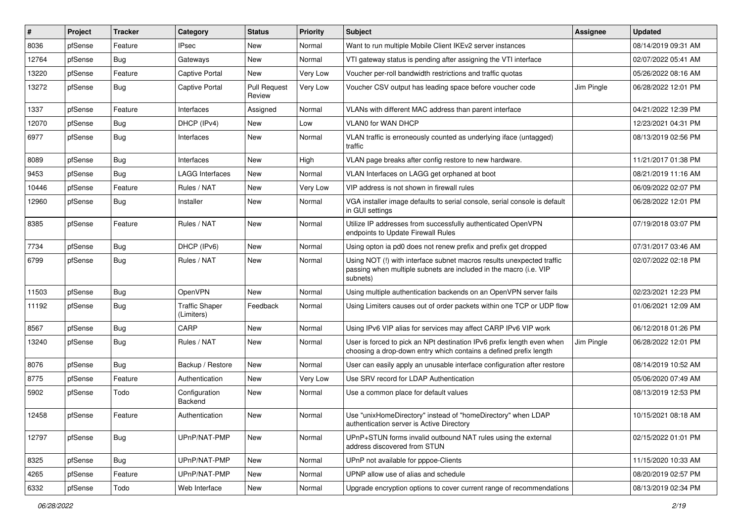| $\vert$ # | Project | <b>Tracker</b> | Category                            | <b>Status</b>                 | <b>Priority</b> | Subject                                                                                                                                                | Assignee   | <b>Updated</b>      |
|-----------|---------|----------------|-------------------------------------|-------------------------------|-----------------|--------------------------------------------------------------------------------------------------------------------------------------------------------|------------|---------------------|
| 8036      | pfSense | Feature        | <b>IPsec</b>                        | New                           | Normal          | Want to run multiple Mobile Client IKEv2 server instances                                                                                              |            | 08/14/2019 09:31 AM |
| 12764     | pfSense | Bug            | Gateways                            | New                           | Normal          | VTI gateway status is pending after assigning the VTI interface                                                                                        |            | 02/07/2022 05:41 AM |
| 13220     | pfSense | Feature        | <b>Captive Portal</b>               | New                           | Very Low        | Voucher per-roll bandwidth restrictions and traffic quotas                                                                                             |            | 05/26/2022 08:16 AM |
| 13272     | pfSense | <b>Bug</b>     | <b>Captive Portal</b>               | <b>Pull Request</b><br>Review | Very Low        | Voucher CSV output has leading space before voucher code                                                                                               | Jim Pingle | 06/28/2022 12:01 PM |
| 1337      | pfSense | Feature        | Interfaces                          | Assigned                      | Normal          | VLANs with different MAC address than parent interface                                                                                                 |            | 04/21/2022 12:39 PM |
| 12070     | pfSense | Bug            | DHCP (IPv4)                         | <b>New</b>                    | Low             | <b>VLAN0 for WAN DHCP</b>                                                                                                                              |            | 12/23/2021 04:31 PM |
| 6977      | pfSense | Bug            | Interfaces                          | New                           | Normal          | VLAN traffic is erroneously counted as underlying iface (untagged)<br>traffic                                                                          |            | 08/13/2019 02:56 PM |
| 8089      | pfSense | Bug            | Interfaces                          | New                           | High            | VLAN page breaks after config restore to new hardware.                                                                                                 |            | 11/21/2017 01:38 PM |
| 9453      | pfSense | Bug            | <b>LAGG Interfaces</b>              | New                           | Normal          | VLAN Interfaces on LAGG get orphaned at boot                                                                                                           |            | 08/21/2019 11:16 AM |
| 10446     | pfSense | Feature        | Rules / NAT                         | New                           | Very Low        | VIP address is not shown in firewall rules                                                                                                             |            | 06/09/2022 02:07 PM |
| 12960     | pfSense | Bug            | Installer                           | New                           | Normal          | VGA installer image defaults to serial console, serial console is default<br>in GUI settings                                                           |            | 06/28/2022 12:01 PM |
| 8385      | pfSense | Feature        | Rules / NAT                         | New                           | Normal          | Utilize IP addresses from successfully authenticated OpenVPN<br>endpoints to Update Firewall Rules                                                     |            | 07/19/2018 03:07 PM |
| 7734      | pfSense | Bug            | DHCP (IPv6)                         | New                           | Normal          | Using opton ia pd0 does not renew prefix and prefix get dropped                                                                                        |            | 07/31/2017 03:46 AM |
| 6799      | pfSense | Bug            | Rules / NAT                         | New                           | Normal          | Using NOT (!) with interface subnet macros results unexpected traffic<br>passing when multiple subnets are included in the macro (i.e. VIP<br>subnets) |            | 02/07/2022 02:18 PM |
| 11503     | pfSense | <b>Bug</b>     | OpenVPN                             | <b>New</b>                    | Normal          | Using multiple authentication backends on an OpenVPN server fails                                                                                      |            | 02/23/2021 12:23 PM |
| 11192     | pfSense | Bug            | <b>Traffic Shaper</b><br>(Limiters) | Feedback                      | Normal          | Using Limiters causes out of order packets within one TCP or UDP flow                                                                                  |            | 01/06/2021 12:09 AM |
| 8567      | pfSense | <b>Bug</b>     | CARP                                | <b>New</b>                    | Normal          | Using IPv6 VIP alias for services may affect CARP IPv6 VIP work                                                                                        |            | 06/12/2018 01:26 PM |
| 13240     | pfSense | Bug            | Rules / NAT                         | New                           | Normal          | User is forced to pick an NPt destination IPv6 prefix length even when<br>choosing a drop-down entry which contains a defined prefix length            | Jim Pingle | 06/28/2022 12:01 PM |
| 8076      | pfSense | <b>Bug</b>     | Backup / Restore                    | <b>New</b>                    | Normal          | User can easily apply an unusable interface configuration after restore                                                                                |            | 08/14/2019 10:52 AM |
| 8775      | pfSense | Feature        | Authentication                      | New                           | Very Low        | Use SRV record for LDAP Authentication                                                                                                                 |            | 05/06/2020 07:49 AM |
| 5902      | pfSense | Todo           | Configuration<br>Backend            | <b>New</b>                    | Normal          | Use a common place for default values                                                                                                                  |            | 08/13/2019 12:53 PM |
| 12458     | pfSense | Feature        | Authentication                      | <b>New</b>                    | Normal          | Use "unixHomeDirectory" instead of "homeDirectory" when LDAP<br>authentication server is Active Directory                                              |            | 10/15/2021 08:18 AM |
| 12797     | pfSense | <b>Bug</b>     | UPnP/NAT-PMP                        | New                           | Normal          | UPnP+STUN forms invalid outbound NAT rules using the external<br>address discovered from STUN                                                          |            | 02/15/2022 01:01 PM |
| 8325      | pfSense | <b>Bug</b>     | UPnP/NAT-PMP                        | New                           | Normal          | UPnP not available for pppoe-Clients                                                                                                                   |            | 11/15/2020 10:33 AM |
| 4265      | pfSense | Feature        | UPnP/NAT-PMP                        | New                           | Normal          | UPNP allow use of alias and schedule                                                                                                                   |            | 08/20/2019 02:57 PM |
| 6332      | pfSense | Todo           | Web Interface                       | New                           | Normal          | Upgrade encryption options to cover current range of recommendations                                                                                   |            | 08/13/2019 02:34 PM |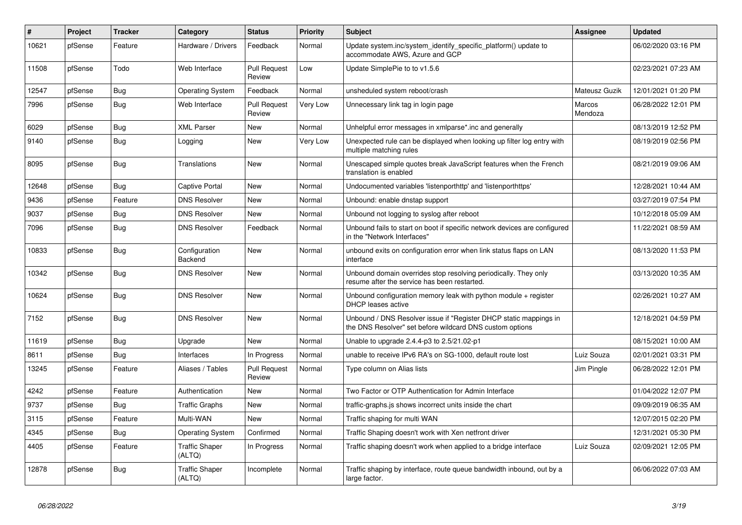| $\#$  | Project | <b>Tracker</b> | Category                        | <b>Status</b>                 | <b>Priority</b> | <b>Subject</b>                                                                                                                | Assignee          | <b>Updated</b>      |
|-------|---------|----------------|---------------------------------|-------------------------------|-----------------|-------------------------------------------------------------------------------------------------------------------------------|-------------------|---------------------|
| 10621 | pfSense | Feature        | Hardware / Drivers              | Feedback                      | Normal          | Update system.inc/system_identify_specific_platform() update to<br>accommodate AWS, Azure and GCP                             |                   | 06/02/2020 03:16 PM |
| 11508 | pfSense | Todo           | Web Interface                   | <b>Pull Request</b><br>Review | Low             | Update SimplePie to to v1.5.6                                                                                                 |                   | 02/23/2021 07:23 AM |
| 12547 | pfSense | <b>Bug</b>     | <b>Operating System</b>         | Feedback                      | Normal          | unsheduled system reboot/crash                                                                                                | Mateusz Guzik     | 12/01/2021 01:20 PM |
| 7996  | pfSense | Bug            | Web Interface                   | <b>Pull Request</b><br>Review | Very Low        | Unnecessary link tag in login page                                                                                            | Marcos<br>Mendoza | 06/28/2022 12:01 PM |
| 6029  | pfSense | <b>Bug</b>     | <b>XML Parser</b>               | <b>New</b>                    | Normal          | Unhelpful error messages in xmlparse*.inc and generally                                                                       |                   | 08/13/2019 12:52 PM |
| 9140  | pfSense | Bug            | Logging                         | New                           | Very Low        | Unexpected rule can be displayed when looking up filter log entry with<br>multiple matching rules                             |                   | 08/19/2019 02:56 PM |
| 8095  | pfSense | Bug            | <b>Translations</b>             | <b>New</b>                    | Normal          | Unescaped simple quotes break JavaScript features when the French<br>translation is enabled                                   |                   | 08/21/2019 09:06 AM |
| 12648 | pfSense | <b>Bug</b>     | <b>Captive Portal</b>           | New                           | Normal          | Undocumented variables 'listenporthttp' and 'listenporthttps'                                                                 |                   | 12/28/2021 10:44 AM |
| 9436  | pfSense | Feature        | <b>DNS Resolver</b>             | <b>New</b>                    | Normal          | Unbound: enable dnstap support                                                                                                |                   | 03/27/2019 07:54 PM |
| 9037  | pfSense | <b>Bug</b>     | <b>DNS Resolver</b>             | <b>New</b>                    | Normal          | Unbound not logging to syslog after reboot                                                                                    |                   | 10/12/2018 05:09 AM |
| 7096  | pfSense | Bug            | <b>DNS Resolver</b>             | Feedback                      | Normal          | Unbound fails to start on boot if specific network devices are configured<br>in the "Network Interfaces"                      |                   | 11/22/2021 08:59 AM |
| 10833 | pfSense | Bug            | Configuration<br>Backend        | <b>New</b>                    | Normal          | unbound exits on configuration error when link status flaps on LAN<br>interface                                               |                   | 08/13/2020 11:53 PM |
| 10342 | pfSense | <b>Bug</b>     | <b>DNS Resolver</b>             | New                           | Normal          | Unbound domain overrides stop resolving periodically. They only<br>resume after the service has been restarted.               |                   | 03/13/2020 10:35 AM |
| 10624 | pfSense | <b>Bug</b>     | <b>DNS Resolver</b>             | <b>New</b>                    | Normal          | Unbound configuration memory leak with python module $+$ register<br><b>DHCP</b> leases active                                |                   | 02/26/2021 10:27 AM |
| 7152  | pfSense | Bug            | <b>DNS Resolver</b>             | New                           | Normal          | Unbound / DNS Resolver issue if "Register DHCP static mappings in<br>the DNS Resolver" set before wildcard DNS custom options |                   | 12/18/2021 04:59 PM |
| 11619 | pfSense | Bug            | Upgrade                         | New                           | Normal          | Unable to upgrade 2.4.4-p3 to 2.5/21.02-p1                                                                                    |                   | 08/15/2021 10:00 AM |
| 8611  | pfSense | <b>Bug</b>     | Interfaces                      | In Progress                   | Normal          | unable to receive IPv6 RA's on SG-1000, default route lost                                                                    | Luiz Souza        | 02/01/2021 03:31 PM |
| 13245 | pfSense | Feature        | Aliases / Tables                | <b>Pull Request</b><br>Review | Normal          | Type column on Alias lists                                                                                                    | Jim Pingle        | 06/28/2022 12:01 PM |
| 4242  | pfSense | Feature        | Authentication                  | <b>New</b>                    | Normal          | Two Factor or OTP Authentication for Admin Interface                                                                          |                   | 01/04/2022 12:07 PM |
| 9737  | pfSense | Bug            | <b>Traffic Graphs</b>           | <b>New</b>                    | Normal          | traffic-graphs.js shows incorrect units inside the chart                                                                      |                   | 09/09/2019 06:35 AM |
| 3115  | pfSense | Feature        | Multi-WAN                       | <b>New</b>                    | Normal          | Traffic shaping for multi WAN                                                                                                 |                   | 12/07/2015 02:20 PM |
| 4345  | pfSense | Bug            | <b>Operating System</b>         | Confirmed                     | Normal          | Traffic Shaping doesn't work with Xen netfront driver                                                                         |                   | 12/31/2021 05:30 PM |
| 4405  | pfSense | Feature        | <b>Traffic Shaper</b><br>(ALTQ) | In Progress                   | Normal          | Traffic shaping doesn't work when applied to a bridge interface                                                               | Luiz Souza        | 02/09/2021 12:05 PM |
| 12878 | pfSense | <b>Bug</b>     | <b>Traffic Shaper</b><br>(ALTQ) | Incomplete                    | Normal          | Traffic shaping by interface, route queue bandwidth inbound, out by a<br>large factor.                                        |                   | 06/06/2022 07:03 AM |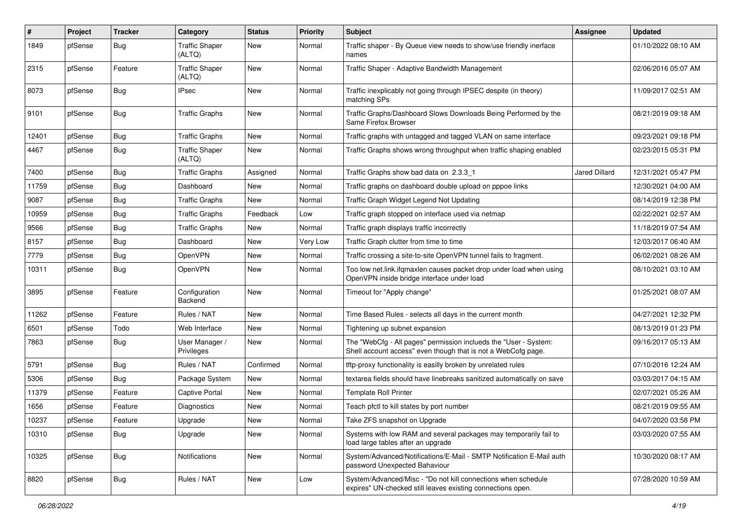| ∦     | Project | <b>Tracker</b> | Category                        | <b>Status</b> | <b>Priority</b> | <b>Subject</b>                                                                                                                    | Assignee      | <b>Updated</b>      |
|-------|---------|----------------|---------------------------------|---------------|-----------------|-----------------------------------------------------------------------------------------------------------------------------------|---------------|---------------------|
| 1849  | pfSense | <b>Bug</b>     | <b>Traffic Shaper</b><br>(ALTQ) | New           | Normal          | Traffic shaper - By Queue view needs to show/use friendly inerface<br>names                                                       |               | 01/10/2022 08:10 AM |
| 2315  | pfSense | Feature        | <b>Traffic Shaper</b><br>(ALTQ) | New           | Normal          | Traffic Shaper - Adaptive Bandwidth Management                                                                                    |               | 02/06/2016 05:07 AM |
| 8073  | pfSense | Bug            | <b>IPsec</b>                    | New           | Normal          | Traffic inexplicably not going through IPSEC despite (in theory)<br>matching SPs                                                  |               | 11/09/2017 02:51 AM |
| 9101  | pfSense | Bug            | <b>Traffic Graphs</b>           | New           | Normal          | Traffic Graphs/Dashboard Slows Downloads Being Performed by the<br>Same Firefox Browser                                           |               | 08/21/2019 09:18 AM |
| 12401 | pfSense | <b>Bug</b>     | <b>Traffic Graphs</b>           | New           | Normal          | Traffic graphs with untagged and tagged VLAN on same interface                                                                    |               | 09/23/2021 09:18 PM |
| 4467  | pfSense | <b>Bug</b>     | <b>Traffic Shaper</b><br>(ALTQ) | New           | Normal          | Traffic Graphs shows wrong throughput when traffic shaping enabled                                                                |               | 02/23/2015 05:31 PM |
| 7400  | pfSense | Bug            | <b>Traffic Graphs</b>           | Assigned      | Normal          | Traffic Graphs show bad data on 2.3.3 1                                                                                           | Jared Dillard | 12/31/2021 05:47 PM |
| 11759 | pfSense | <b>Bug</b>     | Dashboard                       | New           | Normal          | Traffic graphs on dashboard double upload on pppoe links                                                                          |               | 12/30/2021 04:00 AM |
| 9087  | pfSense | <b>Bug</b>     | <b>Traffic Graphs</b>           | New           | Normal          | Traffic Graph Widget Legend Not Updating                                                                                          |               | 08/14/2019 12:38 PM |
| 10959 | pfSense | <b>Bug</b>     | <b>Traffic Graphs</b>           | Feedback      | Low             | Traffic graph stopped on interface used via netmap                                                                                |               | 02/22/2021 02:57 AM |
| 9566  | pfSense | <b>Bug</b>     | <b>Traffic Graphs</b>           | New           | Normal          | Traffic graph displays traffic incorrectly                                                                                        |               | 11/18/2019 07:54 AM |
| 8157  | pfSense | <b>Bug</b>     | Dashboard                       | New           | Very Low        | Traffic Graph clutter from time to time                                                                                           |               | 12/03/2017 06:40 AM |
| 7779  | pfSense | <b>Bug</b>     | OpenVPN                         | New           | Normal          | Traffic crossing a site-to-site OpenVPN tunnel fails to fragment.                                                                 |               | 06/02/2021 08:26 AM |
| 10311 | pfSense | <b>Bug</b>     | <b>OpenVPN</b>                  | New           | Normal          | Too low net.link.ifqmaxlen causes packet drop under load when using<br>OpenVPN inside bridge interface under load                 |               | 08/10/2021 03:10 AM |
| 3895  | pfSense | Feature        | Configuration<br>Backend        | New           | Normal          | Timeout for "Apply change"                                                                                                        |               | 01/25/2021 08:07 AM |
| 11262 | pfSense | Feature        | Rules / NAT                     | New           | Normal          | Time Based Rules - selects all days in the current month                                                                          |               | 04/27/2021 12:32 PM |
| 6501  | pfSense | Todo           | Web Interface                   | New           | Normal          | Tightening up subnet expansion                                                                                                    |               | 08/13/2019 01:23 PM |
| 7863  | pfSense | <b>Bug</b>     | User Manager /<br>Privileges    | New           | Normal          | The "WebCfg - All pages" permission inclueds the "User - System:<br>Shell account access" even though that is not a WebCofg page. |               | 09/16/2017 05:13 AM |
| 5791  | pfSense | <b>Bug</b>     | Rules / NAT                     | Confirmed     | Normal          | tftp-proxy functionality is easilly broken by unrelated rules                                                                     |               | 07/10/2016 12:24 AM |
| 5306  | pfSense | <b>Bug</b>     | Package System                  | New           | Normal          | textarea fields should have linebreaks sanitized automatically on save                                                            |               | 03/03/2017 04:15 AM |
| 11379 | pfSense | Feature        | <b>Captive Portal</b>           | New           | Normal          | <b>Template Roll Printer</b>                                                                                                      |               | 02/07/2021 05:26 AM |
| 1656  | pfSense | Feature        | Diagnostics                     | New           | Normal          | Teach pfctl to kill states by port number                                                                                         |               | 08/21/2019 09:55 AM |
| 10237 | pfSense | Feature        | Upgrade                         | New           | Normal          | Take ZFS snapshot on Upgrade                                                                                                      |               | 04/07/2020 03:58 PM |
| 10310 | pfSense | Bug            | Upgrade                         | New           | Normal          | Systems with low RAM and several packages may temporarily fail to<br>load large tables after an upgrade                           |               | 03/03/2020 07:55 AM |
| 10325 | pfSense | Bug            | Notifications                   | New           | Normal          | System/Advanced/Notifications/E-Mail - SMTP Notification E-Mail auth<br>password Unexpected Bahaviour                             |               | 10/30/2020 08:17 AM |
| 8820  | pfSense | <b>Bug</b>     | Rules / NAT                     | New           | Low             | System/Advanced/Misc - "Do not kill connections when schedule<br>expires" UN-checked still leaves existing connections open.      |               | 07/28/2020 10:59 AM |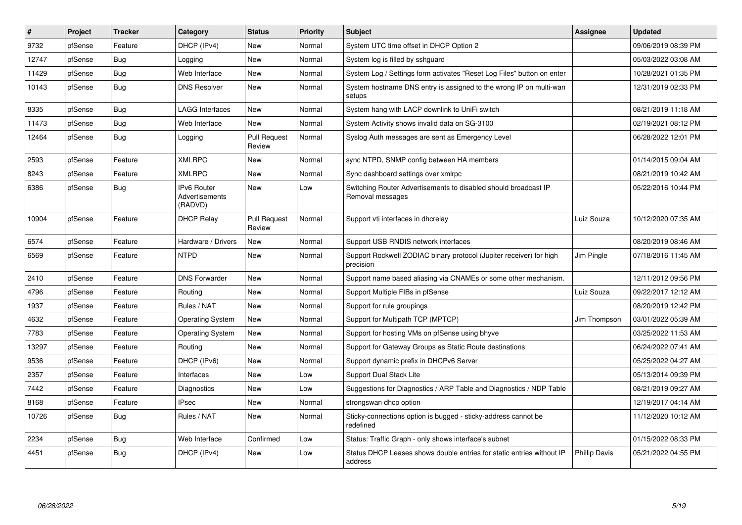| $\vert$ # | Project | <b>Tracker</b> | Category                                               | <b>Status</b>                 | <b>Priority</b> | Subject                                                                             | Assignee             | <b>Updated</b>      |
|-----------|---------|----------------|--------------------------------------------------------|-------------------------------|-----------------|-------------------------------------------------------------------------------------|----------------------|---------------------|
| 9732      | pfSense | Feature        | DHCP (IPv4)                                            | <b>New</b>                    | Normal          | System UTC time offset in DHCP Option 2                                             |                      | 09/06/2019 08:39 PM |
| 12747     | pfSense | Bug            | Logging                                                | New                           | Normal          | System log is filled by sshguard                                                    |                      | 05/03/2022 03:08 AM |
| 11429     | pfSense | <b>Bug</b>     | Web Interface                                          | <b>New</b>                    | Normal          | System Log / Settings form activates "Reset Log Files" button on enter              |                      | 10/28/2021 01:35 PM |
| 10143     | pfSense | Bug            | <b>DNS Resolver</b>                                    | <b>New</b>                    | Normal          | System hostname DNS entry is assigned to the wrong IP on multi-wan<br>setups        |                      | 12/31/2019 02:33 PM |
| 8335      | pfSense | Bug            | <b>LAGG Interfaces</b>                                 | New                           | Normal          | System hang with LACP downlink to UniFi switch                                      |                      | 08/21/2019 11:18 AM |
| 11473     | pfSense | <b>Bug</b>     | Web Interface                                          | New                           | Normal          | System Activity shows invalid data on SG-3100                                       |                      | 02/19/2021 08:12 PM |
| 12464     | pfSense | <b>Bug</b>     | Logging                                                | <b>Pull Request</b><br>Review | Normal          | Syslog Auth messages are sent as Emergency Level                                    |                      | 06/28/2022 12:01 PM |
| 2593      | pfSense | Feature        | <b>XMLRPC</b>                                          | <b>New</b>                    | Normal          | sync NTPD, SNMP config between HA members                                           |                      | 01/14/2015 09:04 AM |
| 8243      | pfSense | Feature        | <b>XMLRPC</b>                                          | New                           | Normal          | Sync dashboard settings over xmlrpc                                                 |                      | 08/21/2019 10:42 AM |
| 6386      | pfSense | Bug            | <b>IPv6 Router</b><br><b>Advertisements</b><br>(RADVD) | <b>New</b>                    | Low             | Switching Router Advertisements to disabled should broadcast IP<br>Removal messages |                      | 05/22/2016 10:44 PM |
| 10904     | pfSense | Feature        | <b>DHCP Relay</b>                                      | <b>Pull Request</b><br>Review | Normal          | Support vti interfaces in dhcrelay                                                  | Luiz Souza           | 10/12/2020 07:35 AM |
| 6574      | pfSense | Feature        | Hardware / Drivers                                     | <b>New</b>                    | Normal          | Support USB RNDIS network interfaces                                                |                      | 08/20/2019 08:46 AM |
| 6569      | pfSense | Feature        | <b>NTPD</b>                                            | New                           | Normal          | Support Rockwell ZODIAC binary protocol (Jupiter receiver) for high<br>precision    | Jim Pingle           | 07/18/2016 11:45 AM |
| 2410      | pfSense | Feature        | <b>DNS Forwarder</b>                                   | New                           | Normal          | Support name based aliasing via CNAMEs or some other mechanism.                     |                      | 12/11/2012 09:56 PM |
| 4796      | pfSense | Feature        | Routing                                                | New                           | Normal          | Support Multiple FIBs in pfSense                                                    | Luiz Souza           | 09/22/2017 12:12 AM |
| 1937      | pfSense | Feature        | Rules / NAT                                            | <b>New</b>                    | Normal          | Support for rule groupings                                                          |                      | 08/20/2019 12:42 PM |
| 4632      | pfSense | Feature        | <b>Operating System</b>                                | <b>New</b>                    | Normal          | Support for Multipath TCP (MPTCP)                                                   | Jim Thompson         | 03/01/2022 05:39 AM |
| 7783      | pfSense | Feature        | <b>Operating System</b>                                | New                           | Normal          | Support for hosting VMs on pfSense using bhyve                                      |                      | 03/25/2022 11:53 AM |
| 13297     | pfSense | Feature        | Routing                                                | <b>New</b>                    | Normal          | Support for Gateway Groups as Static Route destinations                             |                      | 06/24/2022 07:41 AM |
| 9536      | pfSense | Feature        | DHCP (IPv6)                                            | <b>New</b>                    | Normal          | Support dynamic prefix in DHCPv6 Server                                             |                      | 05/25/2022 04:27 AM |
| 2357      | pfSense | Feature        | Interfaces                                             | New                           | Low             | <b>Support Dual Stack Lite</b>                                                      |                      | 05/13/2014 09:39 PM |
| 7442      | pfSense | Feature        | <b>Diagnostics</b>                                     | New                           | Low             | Suggestions for Diagnostics / ARP Table and Diagnostics / NDP Table                 |                      | 08/21/2019 09:27 AM |
| 8168      | pfSense | Feature        | <b>IPsec</b>                                           | New                           | Normal          | strongswan dhcp option                                                              |                      | 12/19/2017 04:14 AM |
| 10726     | pfSense | <b>Bug</b>     | Rules / NAT                                            | <b>New</b>                    | Normal          | Sticky-connections option is bugged - sticky-address cannot be<br>redefined         |                      | 11/12/2020 10:12 AM |
| 2234      | pfSense | Bug            | Web Interface                                          | Confirmed                     | Low             | Status: Traffic Graph - only shows interface's subnet                               |                      | 01/15/2022 08:33 PM |
| 4451      | pfSense | Bug            | DHCP (IPv4)                                            | <b>New</b>                    | Low             | Status DHCP Leases shows double entries for static entries without IP<br>address    | <b>Phillip Davis</b> | 05/21/2022 04:55 PM |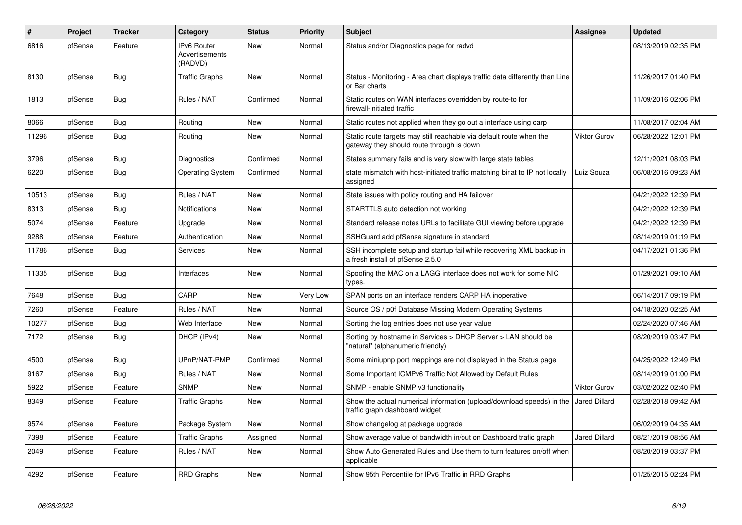| $\#$  | Project | <b>Tracker</b> | Category                                 | <b>Status</b> | <b>Priority</b> | <b>Subject</b>                                                                                                   | Assignee             | <b>Updated</b>      |
|-------|---------|----------------|------------------------------------------|---------------|-----------------|------------------------------------------------------------------------------------------------------------------|----------------------|---------------------|
| 6816  | pfSense | Feature        | IPv6 Router<br>Advertisements<br>(RADVD) | <b>New</b>    | Normal          | Status and/or Diagnostics page for radvd                                                                         |                      | 08/13/2019 02:35 PM |
| 8130  | pfSense | <b>Bug</b>     | <b>Traffic Graphs</b>                    | New           | Normal          | Status - Monitoring - Area chart displays traffic data differently than Line<br>or Bar charts                    |                      | 11/26/2017 01:40 PM |
| 1813  | pfSense | <b>Bug</b>     | Rules / NAT                              | Confirmed     | Normal          | Static routes on WAN interfaces overridden by route-to for<br>firewall-initiated traffic                         |                      | 11/09/2016 02:06 PM |
| 8066  | pfSense | <b>Bug</b>     | Routing                                  | <b>New</b>    | Normal          | Static routes not applied when they go out a interface using carp                                                |                      | 11/08/2017 02:04 AM |
| 11296 | pfSense | Bug            | Routing                                  | <b>New</b>    | Normal          | Static route targets may still reachable via default route when the<br>gateway they should route through is down | <b>Viktor Gurov</b>  | 06/28/2022 12:01 PM |
| 3796  | pfSense | <b>Bug</b>     | Diagnostics                              | Confirmed     | Normal          | States summary fails and is very slow with large state tables                                                    |                      | 12/11/2021 08:03 PM |
| 6220  | pfSense | <b>Bug</b>     | <b>Operating System</b>                  | Confirmed     | Normal          | state mismatch with host-initiated traffic matching binat to IP not locally<br>assigned                          | Luiz Souza           | 06/08/2016 09:23 AM |
| 10513 | pfSense | Bug            | Rules / NAT                              | <b>New</b>    | Normal          | State issues with policy routing and HA failover                                                                 |                      | 04/21/2022 12:39 PM |
| 8313  | pfSense | <b>Bug</b>     | <b>Notifications</b>                     | <b>New</b>    | Normal          | STARTTLS auto detection not working                                                                              |                      | 04/21/2022 12:39 PM |
| 5074  | pfSense | Feature        | Upgrade                                  | <b>New</b>    | Normal          | Standard release notes URLs to facilitate GUI viewing before upgrade                                             |                      | 04/21/2022 12:39 PM |
| 9288  | pfSense | Feature        | Authentication                           | <b>New</b>    | Normal          | SSHGuard add pfSense signature in standard                                                                       |                      | 08/14/2019 01:19 PM |
| 11786 | pfSense | Bug            | <b>Services</b>                          | New           | Normal          | SSH incomplete setup and startup fail while recovering XML backup in<br>a fresh install of pfSense 2.5.0         |                      | 04/17/2021 01:36 PM |
| 11335 | pfSense | Bug            | Interfaces                               | <b>New</b>    | Normal          | Spoofing the MAC on a LAGG interface does not work for some NIC<br>types.                                        |                      | 01/29/2021 09:10 AM |
| 7648  | pfSense | Bug            | CARP                                     | <b>New</b>    | Very Low        | SPAN ports on an interface renders CARP HA inoperative                                                           |                      | 06/14/2017 09:19 PM |
| 7260  | pfSense | Feature        | Rules / NAT                              | <b>New</b>    | Normal          | Source OS / p0f Database Missing Modern Operating Systems                                                        |                      | 04/18/2020 02:25 AM |
| 10277 | pfSense | <b>Bug</b>     | Web Interface                            | <b>New</b>    | Normal          | Sorting the log entries does not use year value                                                                  |                      | 02/24/2020 07:46 AM |
| 7172  | pfSense | <b>Bug</b>     | DHCP (IPv4)                              | <b>New</b>    | Normal          | Sorting by hostname in Services > DHCP Server > LAN should be<br>'natural" (alphanumeric friendly)               |                      | 08/20/2019 03:47 PM |
| 4500  | pfSense | Bug            | UPnP/NAT-PMP                             | Confirmed     | Normal          | Some miniupnp port mappings are not displayed in the Status page                                                 |                      | 04/25/2022 12:49 PM |
| 9167  | pfSense | <b>Bug</b>     | Rules / NAT                              | <b>New</b>    | Normal          | Some Important ICMPv6 Traffic Not Allowed by Default Rules                                                       |                      | 08/14/2019 01:00 PM |
| 5922  | pfSense | Feature        | <b>SNMP</b>                              | <b>New</b>    | Normal          | SNMP - enable SNMP v3 functionality                                                                              | <b>Viktor Gurov</b>  | 03/02/2022 02:40 PM |
| 8349  | pfSense | Feature        | <b>Traffic Graphs</b>                    | <b>New</b>    | Normal          | Show the actual numerical information (upload/download speeds) in the<br>traffic graph dashboard widget          | <b>Jared Dillard</b> | 02/28/2018 09:42 AM |
| 9574  | pfSense | Feature        | Package System                           | New           | Normal          | Show changelog at package upgrade                                                                                |                      | 06/02/2019 04:35 AM |
| 7398  | pfSense | Feature        | <b>Traffic Graphs</b>                    | Assigned      | Normal          | Show average value of bandwidth in/out on Dashboard trafic graph                                                 | Jared Dillard        | 08/21/2019 08:56 AM |
| 2049  | pfSense | Feature        | Rules / NAT                              | New           | Normal          | Show Auto Generated Rules and Use them to turn features on/off when<br>applicable                                |                      | 08/20/2019 03:37 PM |
| 4292  | pfSense | Feature        | <b>RRD Graphs</b>                        | <b>New</b>    | Normal          | Show 95th Percentile for IPv6 Traffic in RRD Graphs                                                              |                      | 01/25/2015 02:24 PM |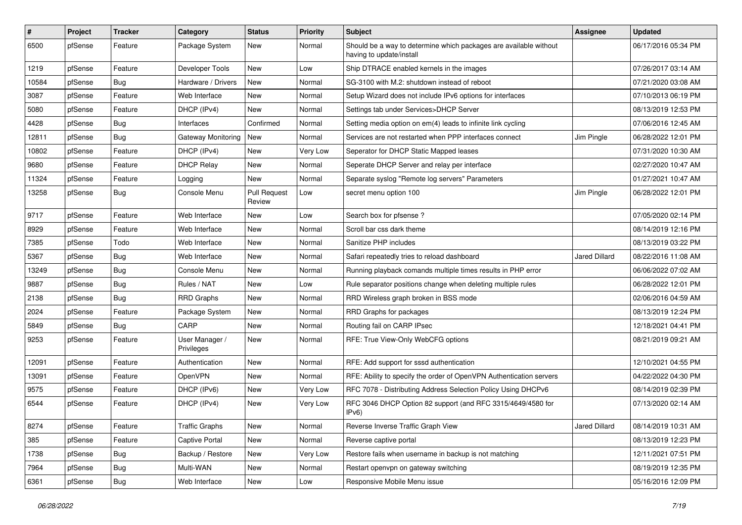| #     | Project | <b>Tracker</b> | Category                     | <b>Status</b>                 | <b>Priority</b> | <b>Subject</b>                                                                                | Assignee      | <b>Updated</b>      |
|-------|---------|----------------|------------------------------|-------------------------------|-----------------|-----------------------------------------------------------------------------------------------|---------------|---------------------|
| 6500  | pfSense | Feature        | Package System               | New                           | Normal          | Should be a way to determine which packages are available without<br>having to update/install |               | 06/17/2016 05:34 PM |
| 1219  | pfSense | Feature        | Developer Tools              | New                           | Low             | Ship DTRACE enabled kernels in the images                                                     |               | 07/26/2017 03:14 AM |
| 10584 | pfSense | <b>Bug</b>     | Hardware / Drivers           | <b>New</b>                    | Normal          | SG-3100 with M.2: shutdown instead of reboot                                                  |               | 07/21/2020 03:08 AM |
| 3087  | pfSense | Feature        | Web Interface                | New                           | Normal          | Setup Wizard does not include IPv6 options for interfaces                                     |               | 07/10/2013 06:19 PM |
| 5080  | pfSense | Feature        | DHCP (IPv4)                  | New                           | Normal          | Settings tab under Services>DHCP Server                                                       |               | 08/13/2019 12:53 PM |
| 4428  | pfSense | <b>Bug</b>     | Interfaces                   | Confirmed                     | Normal          | Setting media option on em(4) leads to infinite link cycling                                  |               | 07/06/2016 12:45 AM |
| 12811 | pfSense | Bug            | Gateway Monitoring           | New                           | Normal          | Services are not restarted when PPP interfaces connect                                        | Jim Pingle    | 06/28/2022 12:01 PM |
| 10802 | pfSense | Feature        | DHCP (IPv4)                  | New                           | Very Low        | Seperator for DHCP Static Mapped leases                                                       |               | 07/31/2020 10:30 AM |
| 9680  | pfSense | Feature        | <b>DHCP Relay</b>            | New                           | Normal          | Seperate DHCP Server and relay per interface                                                  |               | 02/27/2020 10:47 AM |
| 11324 | pfSense | Feature        | Logging                      | New                           | Normal          | Separate syslog "Remote log servers" Parameters                                               |               | 01/27/2021 10:47 AM |
| 13258 | pfSense | <b>Bug</b>     | Console Menu                 | <b>Pull Request</b><br>Review | Low             | secret menu option 100                                                                        | Jim Pingle    | 06/28/2022 12:01 PM |
| 9717  | pfSense | Feature        | Web Interface                | New                           | Low             | Search box for pfsense?                                                                       |               | 07/05/2020 02:14 PM |
| 8929  | pfSense | Feature        | Web Interface                | New                           | Normal          | Scroll bar css dark theme                                                                     |               | 08/14/2019 12:16 PM |
| 7385  | pfSense | Todo           | Web Interface                | New                           | Normal          | Sanitize PHP includes                                                                         |               | 08/13/2019 03:22 PM |
| 5367  | pfSense | <b>Bug</b>     | Web Interface                | New                           | Normal          | Safari repeatedly tries to reload dashboard                                                   | Jared Dillard | 08/22/2016 11:08 AM |
| 13249 | pfSense | Bug            | Console Menu                 | New                           | Normal          | Running playback comands multiple times results in PHP error                                  |               | 06/06/2022 07:02 AM |
| 9887  | pfSense | <b>Bug</b>     | Rules / NAT                  | New                           | Low             | Rule separator positions change when deleting multiple rules                                  |               | 06/28/2022 12:01 PM |
| 2138  | pfSense | Bug            | RRD Graphs                   | New                           | Normal          | RRD Wireless graph broken in BSS mode                                                         |               | 02/06/2016 04:59 AM |
| 2024  | pfSense | Feature        | Package System               | New                           | Normal          | RRD Graphs for packages                                                                       |               | 08/13/2019 12:24 PM |
| 5849  | pfSense | Bug            | CARP                         | New                           | Normal          | Routing fail on CARP IPsec                                                                    |               | 12/18/2021 04:41 PM |
| 9253  | pfSense | Feature        | User Manager /<br>Privileges | New                           | Normal          | RFE: True View-Only WebCFG options                                                            |               | 08/21/2019 09:21 AM |
| 12091 | pfSense | Feature        | Authentication               | New                           | Normal          | RFE: Add support for sssd authentication                                                      |               | 12/10/2021 04:55 PM |
| 13091 | pfSense | Feature        | OpenVPN                      | New                           | Normal          | RFE: Ability to specify the order of OpenVPN Authentication servers                           |               | 04/22/2022 04:30 PM |
| 9575  | pfSense | Feature        | DHCP (IPv6)                  | New                           | Very Low        | RFC 7078 - Distributing Address Selection Policy Using DHCPv6                                 |               | 08/14/2019 02:39 PM |
| 6544  | pfSense | Feature        | DHCP (IPv4)                  | New                           | Very Low        | RFC 3046 DHCP Option 82 support (and RFC 3315/4649/4580 for<br>IPv6)                          |               | 07/13/2020 02:14 AM |
| 8274  | pfSense | Feature        | <b>Traffic Graphs</b>        | New                           | Normal          | Reverse Inverse Traffic Graph View                                                            | Jared Dillard | 08/14/2019 10:31 AM |
| 385   | pfSense | Feature        | <b>Captive Portal</b>        | New                           | Normal          | Reverse captive portal                                                                        |               | 08/13/2019 12:23 PM |
| 1738  | pfSense | <b>Bug</b>     | Backup / Restore             | New                           | Very Low        | Restore fails when username in backup is not matching                                         |               | 12/11/2021 07:51 PM |
| 7964  | pfSense | Bug            | Multi-WAN                    | New                           | Normal          | Restart openvpn on gateway switching                                                          |               | 08/19/2019 12:35 PM |
| 6361  | pfSense | Bug            | Web Interface                | New                           | Low             | Responsive Mobile Menu issue                                                                  |               | 05/16/2016 12:09 PM |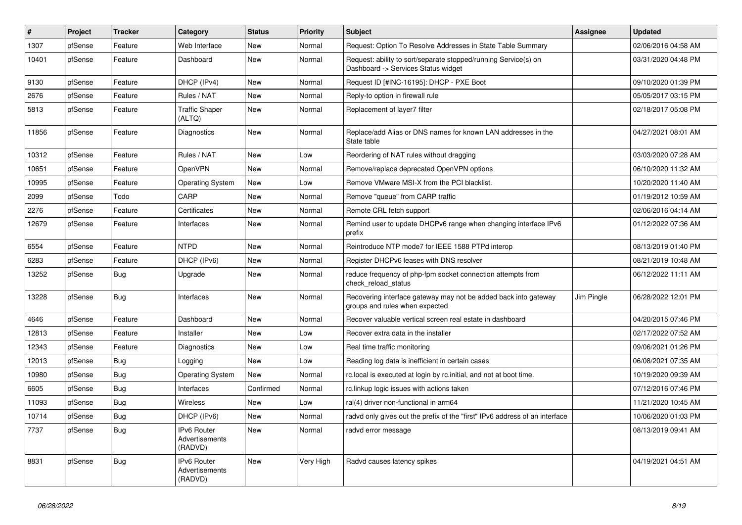| ∦     | Project | <b>Tracker</b> | Category                                 | <b>Status</b> | <b>Priority</b> | <b>Subject</b>                                                                                         | <b>Assignee</b> | <b>Updated</b>      |
|-------|---------|----------------|------------------------------------------|---------------|-----------------|--------------------------------------------------------------------------------------------------------|-----------------|---------------------|
| 1307  | pfSense | Feature        | Web Interface                            | New           | Normal          | Request: Option To Resolve Addresses in State Table Summary                                            |                 | 02/06/2016 04:58 AM |
| 10401 | pfSense | Feature        | Dashboard                                | New           | Normal          | Request: ability to sort/separate stopped/running Service(s) on<br>Dashboard -> Services Status widget |                 | 03/31/2020 04:48 PM |
| 9130  | pfSense | Feature        | DHCP (IPv4)                              | New           | Normal          | Request ID [#INC-16195]: DHCP - PXE Boot                                                               |                 | 09/10/2020 01:39 PM |
| 2676  | pfSense | Feature        | Rules / NAT                              | New           | Normal          | Reply-to option in firewall rule                                                                       |                 | 05/05/2017 03:15 PM |
| 5813  | pfSense | Feature        | Traffic Shaper<br>(ALTQ)                 | New           | Normal          | Replacement of layer7 filter                                                                           |                 | 02/18/2017 05:08 PM |
| 11856 | pfSense | Feature        | Diagnostics                              | <b>New</b>    | Normal          | Replace/add Alias or DNS names for known LAN addresses in the<br>State table                           |                 | 04/27/2021 08:01 AM |
| 10312 | pfSense | Feature        | Rules / NAT                              | <b>New</b>    | Low             | Reordering of NAT rules without dragging                                                               |                 | 03/03/2020 07:28 AM |
| 10651 | pfSense | Feature        | OpenVPN                                  | New           | Normal          | Remove/replace deprecated OpenVPN options                                                              |                 | 06/10/2020 11:32 AM |
| 10995 | pfSense | Feature        | <b>Operating System</b>                  | New           | Low             | Remove VMware MSI-X from the PCI blacklist.                                                            |                 | 10/20/2020 11:40 AM |
| 2099  | pfSense | Todo           | CARP                                     | New           | Normal          | Remove "queue" from CARP traffic                                                                       |                 | 01/19/2012 10:59 AM |
| 2276  | pfSense | Feature        | Certificates                             | <b>New</b>    | Normal          | Remote CRL fetch support                                                                               |                 | 02/06/2016 04:14 AM |
| 12679 | pfSense | Feature        | Interfaces                               | New           | Normal          | Remind user to update DHCPv6 range when changing interface IPv6<br>prefix                              |                 | 01/12/2022 07:36 AM |
| 6554  | pfSense | Feature        | <b>NTPD</b>                              | New           | Normal          | Reintroduce NTP mode7 for IEEE 1588 PTPd interop                                                       |                 | 08/13/2019 01:40 PM |
| 6283  | pfSense | Feature        | DHCP (IPv6)                              | <b>New</b>    | Normal          | Register DHCPv6 leases with DNS resolver                                                               |                 | 08/21/2019 10:48 AM |
| 13252 | pfSense | <b>Bug</b>     | Upgrade                                  | New           | Normal          | reduce frequency of php-fpm socket connection attempts from<br>check_reload_status                     |                 | 06/12/2022 11:11 AM |
| 13228 | pfSense | <b>Bug</b>     | Interfaces                               | New           | Normal          | Recovering interface gateway may not be added back into gateway<br>groups and rules when expected      | Jim Pingle      | 06/28/2022 12:01 PM |
| 4646  | pfSense | Feature        | Dashboard                                | New           | Normal          | Recover valuable vertical screen real estate in dashboard                                              |                 | 04/20/2015 07:46 PM |
| 12813 | pfSense | Feature        | Installer                                | New           | Low             | Recover extra data in the installer                                                                    |                 | 02/17/2022 07:52 AM |
| 12343 | pfSense | Feature        | Diagnostics                              | New           | Low             | Real time traffic monitoring                                                                           |                 | 09/06/2021 01:26 PM |
| 12013 | pfSense | <b>Bug</b>     | Logging                                  | New           | Low             | Reading log data is inefficient in certain cases                                                       |                 | 06/08/2021 07:35 AM |
| 10980 | pfSense | <b>Bug</b>     | <b>Operating System</b>                  | New           | Normal          | rc.local is executed at login by rc.initial, and not at boot time.                                     |                 | 10/19/2020 09:39 AM |
| 6605  | pfSense | <b>Bug</b>     | Interfaces                               | Confirmed     | Normal          | rc.linkup logic issues with actions taken                                                              |                 | 07/12/2016 07:46 PM |
| 11093 | pfSense | <b>Bug</b>     | Wireless                                 | New           | Low             | ral(4) driver non-functional in arm64                                                                  |                 | 11/21/2020 10:45 AM |
| 10714 | pfSense | Bug            | DHCP (IPv6)                              | New           | Normal          | radvd only gives out the prefix of the "first" IPv6 address of an interface                            |                 | 10/06/2020 01:03 PM |
| 7737  | pfSense | Bug            | IPv6 Router<br>Advertisements<br>(RADVD) | New           | Normal          | radvd error message                                                                                    |                 | 08/13/2019 09:41 AM |
| 8831  | pfSense | <b>Bug</b>     | IPv6 Router<br>Advertisements<br>(RADVD) | New           | Very High       | Radvd causes latency spikes                                                                            |                 | 04/19/2021 04:51 AM |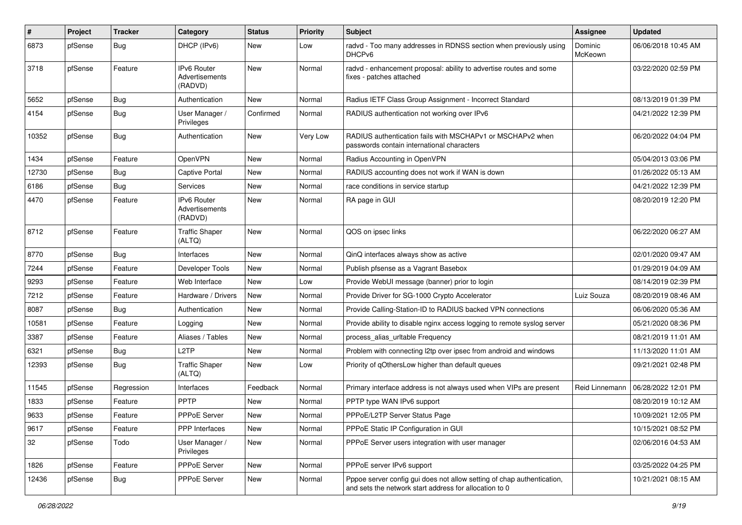| #     | Project | <b>Tracker</b> | Category                                        | <b>Status</b> | <b>Priority</b> | <b>Subject</b>                                                                                                                   | <b>Assignee</b>    | <b>Updated</b>      |
|-------|---------|----------------|-------------------------------------------------|---------------|-----------------|----------------------------------------------------------------------------------------------------------------------------------|--------------------|---------------------|
| 6873  | pfSense | <b>Bug</b>     | DHCP (IPv6)                                     | New           | Low             | radvd - Too many addresses in RDNSS section when previously using<br>DHCP <sub>v6</sub>                                          | Dominic<br>McKeown | 06/06/2018 10:45 AM |
| 3718  | pfSense | Feature        | <b>IPv6 Router</b><br>Advertisements<br>(RADVD) | New           | Normal          | radvd - enhancement proposal: ability to advertise routes and some<br>fixes - patches attached                                   |                    | 03/22/2020 02:59 PM |
| 5652  | pfSense | Bug            | Authentication                                  | <b>New</b>    | Normal          | Radius IETF Class Group Assignment - Incorrect Standard                                                                          |                    | 08/13/2019 01:39 PM |
| 4154  | pfSense | Bug            | User Manager /<br>Privileges                    | Confirmed     | Normal          | RADIUS authentication not working over IPv6                                                                                      |                    | 04/21/2022 12:39 PM |
| 10352 | pfSense | <b>Bug</b>     | Authentication                                  | <b>New</b>    | Very Low        | RADIUS authentication fails with MSCHAPv1 or MSCHAPv2 when<br>passwords contain international characters                         |                    | 06/20/2022 04:04 PM |
| 1434  | pfSense | Feature        | OpenVPN                                         | New           | Normal          | Radius Accounting in OpenVPN                                                                                                     |                    | 05/04/2013 03:06 PM |
| 12730 | pfSense | Bug            | <b>Captive Portal</b>                           | New           | Normal          | RADIUS accounting does not work if WAN is down                                                                                   |                    | 01/26/2022 05:13 AM |
| 6186  | pfSense | Bug            | <b>Services</b>                                 | <b>New</b>    | Normal          | race conditions in service startup                                                                                               |                    | 04/21/2022 12:39 PM |
| 4470  | pfSense | Feature        | IPv6 Router<br>Advertisements<br>(RADVD)        | New           | Normal          | RA page in GUI                                                                                                                   |                    | 08/20/2019 12:20 PM |
| 8712  | pfSense | Feature        | <b>Traffic Shaper</b><br>(ALTQ)                 | <b>New</b>    | Normal          | QOS on ipsec links                                                                                                               |                    | 06/22/2020 06:27 AM |
| 8770  | pfSense | Bug            | Interfaces                                      | <b>New</b>    | Normal          | QinQ interfaces always show as active                                                                                            |                    | 02/01/2020 09:47 AM |
| 7244  | pfSense | Feature        | Developer Tools                                 | New           | Normal          | Publish pfsense as a Vagrant Basebox                                                                                             |                    | 01/29/2019 04:09 AM |
| 9293  | pfSense | Feature        | Web Interface                                   | <b>New</b>    | Low             | Provide WebUI message (banner) prior to login                                                                                    |                    | 08/14/2019 02:39 PM |
| 7212  | pfSense | Feature        | Hardware / Drivers                              | New           | Normal          | Provide Driver for SG-1000 Crypto Accelerator                                                                                    | Luiz Souza         | 08/20/2019 08:46 AM |
| 8087  | pfSense | <b>Bug</b>     | Authentication                                  | New           | Normal          | Provide Calling-Station-ID to RADIUS backed VPN connections                                                                      |                    | 06/06/2020 05:36 AM |
| 10581 | pfSense | Feature        | Logging                                         | New           | Normal          | Provide ability to disable nginx access logging to remote syslog server                                                          |                    | 05/21/2020 08:36 PM |
| 3387  | pfSense | Feature        | Aliases / Tables                                | New           | Normal          | process alias urltable Frequency                                                                                                 |                    | 08/21/2019 11:01 AM |
| 6321  | pfSense | Bug            | L <sub>2</sub> TP                               | New           | Normal          | Problem with connecting I2tp over ipsec from android and windows                                                                 |                    | 11/13/2020 11:01 AM |
| 12393 | pfSense | <b>Bug</b>     | <b>Traffic Shaper</b><br>(ALTQ)                 | New           | Low             | Priority of qOthersLow higher than default queues                                                                                |                    | 09/21/2021 02:48 PM |
| 11545 | pfSense | Regression     | Interfaces                                      | Feedback      | Normal          | Primary interface address is not always used when VIPs are present                                                               | Reid Linnemann     | 06/28/2022 12:01 PM |
| 1833  | pfSense | Feature        | <b>PPTP</b>                                     | New           | Normal          | PPTP type WAN IPv6 support                                                                                                       |                    | 08/20/2019 10:12 AM |
| 9633  | pfSense | Feature        | <b>PPPoE Server</b>                             | New           | Normal          | PPPoE/L2TP Server Status Page                                                                                                    |                    | 10/09/2021 12:05 PM |
| 9617  | pfSense | Feature        | PPP Interfaces                                  | <b>New</b>    | Normal          | PPPoE Static IP Configuration in GUI                                                                                             |                    | 10/15/2021 08:52 PM |
| 32    | pfSense | Todo           | User Manager /<br>Privileges                    | New           | Normal          | PPPoE Server users integration with user manager                                                                                 |                    | 02/06/2016 04:53 AM |
| 1826  | pfSense | Feature        | PPPoE Server                                    | New           | Normal          | PPPoE server IPv6 support                                                                                                        |                    | 03/25/2022 04:25 PM |
| 12436 | pfSense | <b>Bug</b>     | PPPoE Server                                    | New           | Normal          | Pppoe server config gui does not allow setting of chap authentication,<br>and sets the network start address for allocation to 0 |                    | 10/21/2021 08:15 AM |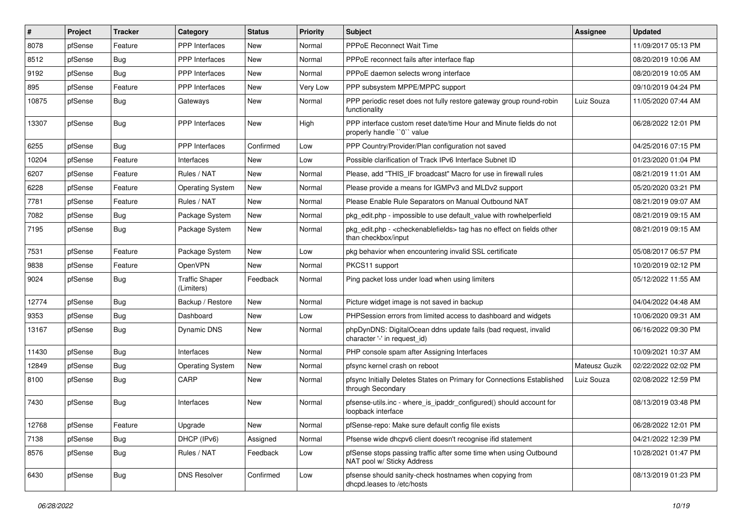| #     | Project | <b>Tracker</b> | Category                            | <b>Status</b> | <b>Priority</b> | <b>Subject</b>                                                                                                   | <b>Assignee</b> | <b>Updated</b>      |
|-------|---------|----------------|-------------------------------------|---------------|-----------------|------------------------------------------------------------------------------------------------------------------|-----------------|---------------------|
| 8078  | pfSense | Feature        | PPP Interfaces                      | New           | Normal          | <b>PPPoE Reconnect Wait Time</b>                                                                                 |                 | 11/09/2017 05:13 PM |
| 8512  | pfSense | <b>Bug</b>     | PPP Interfaces                      | New           | Normal          | PPPoE reconnect fails after interface flap                                                                       |                 | 08/20/2019 10:06 AM |
| 9192  | pfSense | Bug            | <b>PPP</b> Interfaces               | New           | Normal          | PPPoE daemon selects wrong interface                                                                             |                 | 08/20/2019 10:05 AM |
| 895   | pfSense | Feature        | <b>PPP</b> Interfaces               | <b>New</b>    | Very Low        | PPP subsystem MPPE/MPPC support                                                                                  |                 | 09/10/2019 04:24 PM |
| 10875 | pfSense | Bug            | Gateways                            | New           | Normal          | PPP periodic reset does not fully restore gateway group round-robin<br>functionality                             | Luiz Souza      | 11/05/2020 07:44 AM |
| 13307 | pfSense | Bug            | PPP Interfaces                      | New           | High            | PPP interface custom reset date/time Hour and Minute fields do not<br>properly handle "0" value                  |                 | 06/28/2022 12:01 PM |
| 6255  | pfSense | <b>Bug</b>     | <b>PPP</b> Interfaces               | Confirmed     | Low             | PPP Country/Provider/Plan configuration not saved                                                                |                 | 04/25/2016 07:15 PM |
| 10204 | pfSense | Feature        | Interfaces                          | <b>New</b>    | Low             | Possible clarification of Track IPv6 Interface Subnet ID                                                         |                 | 01/23/2020 01:04 PM |
| 6207  | pfSense | Feature        | Rules / NAT                         | New           | Normal          | Please, add "THIS_IF broadcast" Macro for use in firewall rules                                                  |                 | 08/21/2019 11:01 AM |
| 6228  | pfSense | Feature        | <b>Operating System</b>             | New           | Normal          | Please provide a means for IGMPv3 and MLDv2 support                                                              |                 | 05/20/2020 03:21 PM |
| 7781  | pfSense | Feature        | Rules / NAT                         | <b>New</b>    | Normal          | Please Enable Rule Separators on Manual Outbound NAT                                                             |                 | 08/21/2019 09:07 AM |
| 7082  | pfSense | Bug            | Package System                      | New           | Normal          | pkg edit.php - impossible to use default value with rowhelperfield                                               |                 | 08/21/2019 09:15 AM |
| 7195  | pfSense | Bug            | Package System                      | New           | Normal          | pkg_edit.php - <checkenablefields> tag has no effect on fields other<br/>than checkbox/input</checkenablefields> |                 | 08/21/2019 09:15 AM |
| 7531  | pfSense | Feature        | Package System                      | <b>New</b>    | Low             | pkg behavior when encountering invalid SSL certificate                                                           |                 | 05/08/2017 06:57 PM |
| 9838  | pfSense | Feature        | OpenVPN                             | New           | Normal          | PKCS11 support                                                                                                   |                 | 10/20/2019 02:12 PM |
| 9024  | pfSense | <b>Bug</b>     | <b>Traffic Shaper</b><br>(Limiters) | Feedback      | Normal          | Ping packet loss under load when using limiters                                                                  |                 | 05/12/2022 11:55 AM |
| 12774 | pfSense | Bug            | Backup / Restore                    | <b>New</b>    | Normal          | Picture widget image is not saved in backup                                                                      |                 | 04/04/2022 04:48 AM |
| 9353  | pfSense | <b>Bug</b>     | Dashboard                           | New           | Low             | PHPSession errors from limited access to dashboard and widgets                                                   |                 | 10/06/2020 09:31 AM |
| 13167 | pfSense | Bug            | Dynamic DNS                         | New           | Normal          | phpDynDNS: DigitalOcean ddns update fails (bad request, invalid<br>character '-' in request_id)                  |                 | 06/16/2022 09:30 PM |
| 11430 | pfSense | Bug            | Interfaces                          | <b>New</b>    | Normal          | PHP console spam after Assigning Interfaces                                                                      |                 | 10/09/2021 10:37 AM |
| 12849 | pfSense | Bug            | <b>Operating System</b>             | New           | Normal          | pfsync kernel crash on reboot                                                                                    | Mateusz Guzik   | 02/22/2022 02:02 PM |
| 8100  | pfSense | <b>Bug</b>     | CARP                                | New           | Normal          | pfsync Initially Deletes States on Primary for Connections Established<br>through Secondary                      | Luiz Souza      | 02/08/2022 12:59 PM |
| 7430  | pfSense | Bug            | Interfaces                          | New           | Normal          | pfsense-utils.inc - where_is_ipaddr_configured() should account for<br>loopback interface                        |                 | 08/13/2019 03:48 PM |
| 12768 | pfSense | Feature        | Upgrade                             | New           | Normal          | pfSense-repo: Make sure default config file exists                                                               |                 | 06/28/2022 12:01 PM |
| 7138  | pfSense | <b>Bug</b>     | DHCP (IPv6)                         | Assigned      | Normal          | Pfsense wide dhcpv6 client doesn't recognise ifid statement                                                      |                 | 04/21/2022 12:39 PM |
| 8576  | pfSense | <b>Bug</b>     | Rules / NAT                         | Feedback      | Low             | pfSense stops passing traffic after some time when using Outbound<br>NAT pool w/ Sticky Address                  |                 | 10/28/2021 01:47 PM |
| 6430  | pfSense | <b>Bug</b>     | <b>DNS Resolver</b>                 | Confirmed     | Low             | pfsense should sanity-check hostnames when copying from<br>dhcpd.leases to /etc/hosts                            |                 | 08/13/2019 01:23 PM |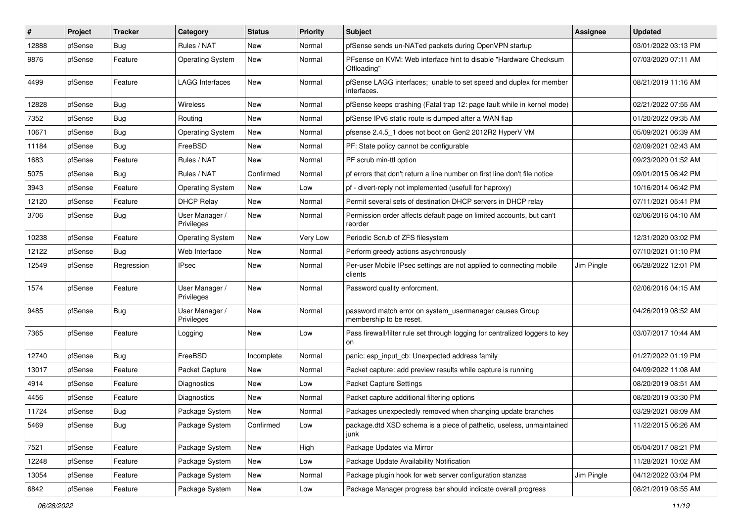| $\#$  | Project | <b>Tracker</b> | Category                     | <b>Status</b> | <b>Priority</b> | Subject                                                                            | <b>Assignee</b> | <b>Updated</b>      |
|-------|---------|----------------|------------------------------|---------------|-----------------|------------------------------------------------------------------------------------|-----------------|---------------------|
| 12888 | pfSense | Bug            | Rules / NAT                  | New           | Normal          | pfSense sends un-NATed packets during OpenVPN startup                              |                 | 03/01/2022 03:13 PM |
| 9876  | pfSense | Feature        | <b>Operating System</b>      | New           | Normal          | PFsense on KVM: Web interface hint to disable "Hardware Checksum<br>Offloading"    |                 | 07/03/2020 07:11 AM |
| 4499  | pfSense | Feature        | <b>LAGG Interfaces</b>       | New           | Normal          | pfSense LAGG interfaces; unable to set speed and duplex for member<br>interfaces.  |                 | 08/21/2019 11:16 AM |
| 12828 | pfSense | Bug            | Wireless                     | <b>New</b>    | Normal          | pfSense keeps crashing (Fatal trap 12: page fault while in kernel mode)            |                 | 02/21/2022 07:55 AM |
| 7352  | pfSense | Bug            | Routing                      | New           | Normal          | pfSense IPv6 static route is dumped after a WAN flap                               |                 | 01/20/2022 09:35 AM |
| 10671 | pfSense | Bug            | <b>Operating System</b>      | New           | Normal          | pfsense 2.4.5_1 does not boot on Gen2 2012R2 HyperV VM                             |                 | 05/09/2021 06:39 AM |
| 11184 | pfSense | Bug            | FreeBSD                      | <b>New</b>    | Normal          | PF: State policy cannot be configurable                                            |                 | 02/09/2021 02:43 AM |
| 1683  | pfSense | Feature        | Rules / NAT                  | New           | Normal          | PF scrub min-ttl option                                                            |                 | 09/23/2020 01:52 AM |
| 5075  | pfSense | Bug            | Rules / NAT                  | Confirmed     | Normal          | pf errors that don't return a line number on first line don't file notice          |                 | 09/01/2015 06:42 PM |
| 3943  | pfSense | Feature        | <b>Operating System</b>      | <b>New</b>    | Low             | pf - divert-reply not implemented (usefull for haproxy)                            |                 | 10/16/2014 06:42 PM |
| 12120 | pfSense | Feature        | <b>DHCP Relay</b>            | <b>New</b>    | Normal          | Permit several sets of destination DHCP servers in DHCP relay                      |                 | 07/11/2021 05:41 PM |
| 3706  | pfSense | Bug            | User Manager /<br>Privileges | New           | Normal          | Permission order affects default page on limited accounts, but can't<br>reorder    |                 | 02/06/2016 04:10 AM |
| 10238 | pfSense | Feature        | <b>Operating System</b>      | New           | Very Low        | Periodic Scrub of ZFS filesystem                                                   |                 | 12/31/2020 03:02 PM |
| 12122 | pfSense | Bug            | Web Interface                | New           | Normal          | Perform greedy actions asychronously                                               |                 | 07/10/2021 01:10 PM |
| 12549 | pfSense | Regression     | <b>IPsec</b>                 | <b>New</b>    | Normal          | Per-user Mobile IPsec settings are not applied to connecting mobile<br>clients     | Jim Pingle      | 06/28/2022 12:01 PM |
| 1574  | pfSense | Feature        | User Manager /<br>Privileges | New           | Normal          | Password quality enforcment.                                                       |                 | 02/06/2016 04:15 AM |
| 9485  | pfSense | Bug            | User Manager /<br>Privileges | New           | Normal          | password match error on system usermanager causes Group<br>membership to be reset. |                 | 04/26/2019 08:52 AM |
| 7365  | pfSense | Feature        | Logging                      | New           | Low             | Pass firewall/filter rule set through logging for centralized loggers to key<br>on |                 | 03/07/2017 10:44 AM |
| 12740 | pfSense | Bug            | FreeBSD                      | Incomplete    | Normal          | panic: esp_input_cb: Unexpected address family                                     |                 | 01/27/2022 01:19 PM |
| 13017 | pfSense | Feature        | Packet Capture               | New           | Normal          | Packet capture: add preview results while capture is running                       |                 | 04/09/2022 11:08 AM |
| 4914  | pfSense | Feature        | Diagnostics                  | New           | Low             | <b>Packet Capture Settings</b>                                                     |                 | 08/20/2019 08:51 AM |
| 4456  | pfSense | Feature        | <b>Diagnostics</b>           | <b>New</b>    | Normal          | Packet capture additional filtering options                                        |                 | 08/20/2019 03:30 PM |
| 11724 | pfSense | Bug            | Package System               | New           | Normal          | Packages unexpectedly removed when changing update branches                        |                 | 03/29/2021 08:09 AM |
| 5469  | pfSense | <b>Bug</b>     | Package System               | Confirmed     | Low             | package.dtd XSD schema is a piece of pathetic, useless, unmaintained<br>junk       |                 | 11/22/2015 06:26 AM |
| 7521  | pfSense | Feature        | Package System               | New           | High            | Package Updates via Mirror                                                         |                 | 05/04/2017 08:21 PM |
| 12248 | pfSense | Feature        | Package System               | New           | Low             | Package Update Availability Notification                                           |                 | 11/28/2021 10:02 AM |
| 13054 | pfSense | Feature        | Package System               | New           | Normal          | Package plugin hook for web server configuration stanzas                           | Jim Pingle      | 04/12/2022 03:04 PM |
| 6842  | pfSense | Feature        | Package System               | New           | Low             | Package Manager progress bar should indicate overall progress                      |                 | 08/21/2019 08:55 AM |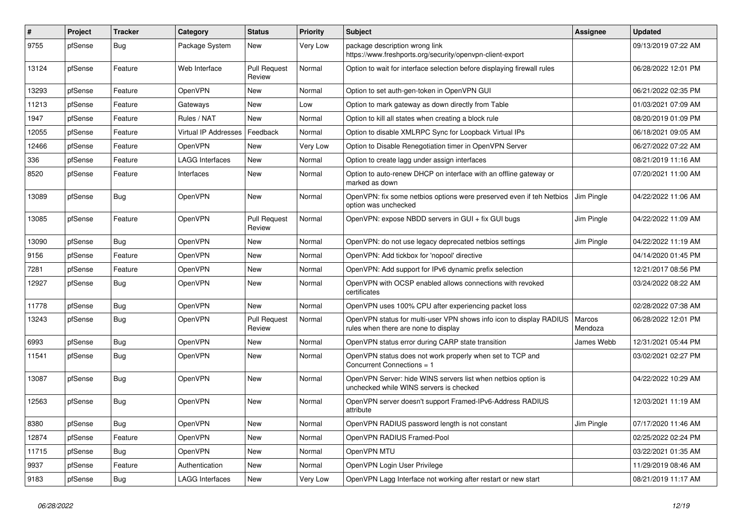| $\#$  | Project | <b>Tracker</b> | Category               | <b>Status</b>                 | <b>Priority</b> | <b>Subject</b>                                                                                              | Assignee          | <b>Updated</b>      |
|-------|---------|----------------|------------------------|-------------------------------|-----------------|-------------------------------------------------------------------------------------------------------------|-------------------|---------------------|
| 9755  | pfSense | Bug            | Package System         | New                           | Very Low        | package description wrong link<br>https://www.freshports.org/security/openvpn-client-export                 |                   | 09/13/2019 07:22 AM |
| 13124 | pfSense | Feature        | Web Interface          | <b>Pull Request</b><br>Review | Normal          | Option to wait for interface selection before displaying firewall rules                                     |                   | 06/28/2022 12:01 PM |
| 13293 | pfSense | Feature        | OpenVPN                | <b>New</b>                    | Normal          | Option to set auth-gen-token in OpenVPN GUI                                                                 |                   | 06/21/2022 02:35 PM |
| 11213 | pfSense | Feature        | Gateways               | New                           | Low             | Option to mark gateway as down directly from Table                                                          |                   | 01/03/2021 07:09 AM |
| 1947  | pfSense | Feature        | Rules / NAT            | <b>New</b>                    | Normal          | Option to kill all states when creating a block rule                                                        |                   | 08/20/2019 01:09 PM |
| 12055 | pfSense | Feature        | Virtual IP Addresses   | Feedback                      | Normal          | Option to disable XMLRPC Sync for Loopback Virtual IPs                                                      |                   | 06/18/2021 09:05 AM |
| 12466 | pfSense | Feature        | OpenVPN                | <b>New</b>                    | Very Low        | Option to Disable Renegotiation timer in OpenVPN Server                                                     |                   | 06/27/2022 07:22 AM |
| 336   | pfSense | Feature        | <b>LAGG Interfaces</b> | New                           | Normal          | Option to create lagg under assign interfaces                                                               |                   | 08/21/2019 11:16 AM |
| 8520  | pfSense | Feature        | Interfaces             | New                           | Normal          | Option to auto-renew DHCP on interface with an offline gateway or<br>marked as down                         |                   | 07/20/2021 11:00 AM |
| 13089 | pfSense | Bug            | OpenVPN                | New                           | Normal          | OpenVPN: fix some netbios options were preserved even if teh Netbios<br>option was unchecked                | Jim Pingle        | 04/22/2022 11:06 AM |
| 13085 | pfSense | Feature        | OpenVPN                | <b>Pull Request</b><br>Review | Normal          | OpenVPN: expose NBDD servers in GUI + fix GUI bugs                                                          | Jim Pingle        | 04/22/2022 11:09 AM |
| 13090 | pfSense | Bug            | OpenVPN                | New                           | Normal          | OpenVPN: do not use legacy deprecated netbios settings                                                      | Jim Pingle        | 04/22/2022 11:19 AM |
| 9156  | pfSense | Feature        | OpenVPN                | New                           | Normal          | OpenVPN: Add tickbox for 'nopool' directive                                                                 |                   | 04/14/2020 01:45 PM |
| 7281  | pfSense | Feature        | OpenVPN                | New                           | Normal          | OpenVPN: Add support for IPv6 dynamic prefix selection                                                      |                   | 12/21/2017 08:56 PM |
| 12927 | pfSense | <b>Bug</b>     | OpenVPN                | New                           | Normal          | OpenVPN with OCSP enabled allows connections with revoked<br>certificates                                   |                   | 03/24/2022 08:22 AM |
| 11778 | pfSense | Bug            | OpenVPN                | <b>New</b>                    | Normal          | OpenVPN uses 100% CPU after experiencing packet loss                                                        |                   | 02/28/2022 07:38 AM |
| 13243 | pfSense | Bug            | OpenVPN                | <b>Pull Request</b><br>Review | Normal          | OpenVPN status for multi-user VPN shows info icon to display RADIUS<br>rules when there are none to display | Marcos<br>Mendoza | 06/28/2022 12:01 PM |
| 6993  | pfSense | Bug            | OpenVPN                | New                           | Normal          | OpenVPN status error during CARP state transition                                                           | James Webb        | 12/31/2021 05:44 PM |
| 11541 | pfSense | Bug            | OpenVPN                | New                           | Normal          | OpenVPN status does not work properly when set to TCP and<br>Concurrent Connections = 1                     |                   | 03/02/2021 02:27 PM |
| 13087 | pfSense | Bug            | OpenVPN                | <b>New</b>                    | Normal          | OpenVPN Server: hide WINS servers list when netbios option is<br>unchecked while WINS servers is checked    |                   | 04/22/2022 10:29 AM |
| 12563 | pfSense | Bug            | OpenVPN                | New                           | Normal          | OpenVPN server doesn't support Framed-IPv6-Address RADIUS<br>attribute                                      |                   | 12/03/2021 11:19 AM |
| 8380  | pfSense | Bug            | OpenVPN                | New                           | Normal          | OpenVPN RADIUS password length is not constant                                                              | Jim Pingle        | 07/17/2020 11:46 AM |
| 12874 | pfSense | Feature        | OpenVPN                | New                           | Normal          | OpenVPN RADIUS Framed-Pool                                                                                  |                   | 02/25/2022 02:24 PM |
| 11715 | pfSense | Bug            | OpenVPN                | New                           | Normal          | OpenVPN MTU                                                                                                 |                   | 03/22/2021 01:35 AM |
| 9937  | pfSense | Feature        | Authentication         | New                           | Normal          | OpenVPN Login User Privilege                                                                                |                   | 11/29/2019 08:46 AM |
| 9183  | pfSense | <b>Bug</b>     | LAGG Interfaces        | New                           | Very Low        | OpenVPN Lagg Interface not working after restart or new start                                               |                   | 08/21/2019 11:17 AM |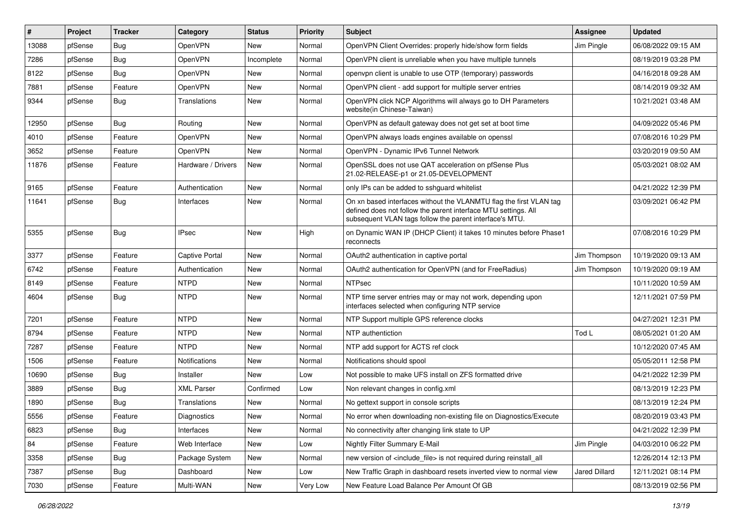| #     | Project | <b>Tracker</b> | Category              | <b>Status</b> | <b>Priority</b> | <b>Subject</b>                                                                                                                                                                                  | <b>Assignee</b> | <b>Updated</b>      |
|-------|---------|----------------|-----------------------|---------------|-----------------|-------------------------------------------------------------------------------------------------------------------------------------------------------------------------------------------------|-----------------|---------------------|
| 13088 | pfSense | Bug            | OpenVPN               | New           | Normal          | OpenVPN Client Overrides: properly hide/show form fields                                                                                                                                        | Jim Pingle      | 06/08/2022 09:15 AM |
| 7286  | pfSense | Bug            | OpenVPN               | Incomplete    | Normal          | OpenVPN client is unreliable when you have multiple tunnels                                                                                                                                     |                 | 08/19/2019 03:28 PM |
| 8122  | pfSense | Bug            | OpenVPN               | New           | Normal          | openypn client is unable to use OTP (temporary) passwords                                                                                                                                       |                 | 04/16/2018 09:28 AM |
| 7881  | pfSense | Feature        | OpenVPN               | New           | Normal          | OpenVPN client - add support for multiple server entries                                                                                                                                        |                 | 08/14/2019 09:32 AM |
| 9344  | pfSense | Bug            | Translations          | New           | Normal          | OpenVPN click NCP Algorithms will always go to DH Parameters<br>website(in Chinese-Taiwan)                                                                                                      |                 | 10/21/2021 03:48 AM |
| 12950 | pfSense | Bug            | Routing               | <b>New</b>    | Normal          | OpenVPN as default gateway does not get set at boot time                                                                                                                                        |                 | 04/09/2022 05:46 PM |
| 4010  | pfSense | Feature        | OpenVPN               | <b>New</b>    | Normal          | OpenVPN always loads engines available on openssl                                                                                                                                               |                 | 07/08/2016 10:29 PM |
| 3652  | pfSense | Feature        | OpenVPN               | <b>New</b>    | Normal          | OpenVPN - Dynamic IPv6 Tunnel Network                                                                                                                                                           |                 | 03/20/2019 09:50 AM |
| 11876 | pfSense | Feature        | Hardware / Drivers    | New           | Normal          | OpenSSL does not use QAT acceleration on pfSense Plus<br>21.02-RELEASE-p1 or 21.05-DEVELOPMENT                                                                                                  |                 | 05/03/2021 08:02 AM |
| 9165  | pfSense | Feature        | Authentication        | New           | Normal          | only IPs can be added to sshguard whitelist                                                                                                                                                     |                 | 04/21/2022 12:39 PM |
| 11641 | pfSense | Bug            | Interfaces            | New           | Normal          | On xn based interfaces without the VLANMTU flag the first VLAN tag<br>defined does not follow the parent interface MTU settings. All<br>subsequent VLAN tags follow the parent interface's MTU. |                 | 03/09/2021 06:42 PM |
| 5355  | pfSense | Bug            | <b>IPsec</b>          | <b>New</b>    | High            | on Dynamic WAN IP (DHCP Client) it takes 10 minutes before Phase1<br>reconnects                                                                                                                 |                 | 07/08/2016 10:29 PM |
| 3377  | pfSense | Feature        | <b>Captive Portal</b> | New           | Normal          | OAuth2 authentication in captive portal                                                                                                                                                         | Jim Thompson    | 10/19/2020 09:13 AM |
| 6742  | pfSense | Feature        | Authentication        | New           | Normal          | OAuth2 authentication for OpenVPN (and for FreeRadius)                                                                                                                                          | Jim Thompson    | 10/19/2020 09:19 AM |
| 8149  | pfSense | Feature        | <b>NTPD</b>           | New           | Normal          | <b>NTPsec</b>                                                                                                                                                                                   |                 | 10/11/2020 10:59 AM |
| 4604  | pfSense | Bug            | <b>NTPD</b>           | New           | Normal          | NTP time server entries may or may not work, depending upon<br>interfaces selected when configuring NTP service                                                                                 |                 | 12/11/2021 07:59 PM |
| 7201  | pfSense | Feature        | <b>NTPD</b>           | New           | Normal          | NTP Support multiple GPS reference clocks                                                                                                                                                       |                 | 04/27/2021 12:31 PM |
| 8794  | pfSense | Feature        | <b>NTPD</b>           | <b>New</b>    | Normal          | NTP authentiction                                                                                                                                                                               | Tod L           | 08/05/2021 01:20 AM |
| 7287  | pfSense | Feature        | <b>NTPD</b>           | New           | Normal          | NTP add support for ACTS ref clock                                                                                                                                                              |                 | 10/12/2020 07:45 AM |
| 1506  | pfSense | Feature        | Notifications         | <b>New</b>    | Normal          | Notifications should spool                                                                                                                                                                      |                 | 05/05/2011 12:58 PM |
| 10690 | pfSense | Bug            | Installer             | New           | Low             | Not possible to make UFS install on ZFS formatted drive                                                                                                                                         |                 | 04/21/2022 12:39 PM |
| 3889  | pfSense | Bug            | <b>XML Parser</b>     | Confirmed     | Low             | Non relevant changes in config.xml                                                                                                                                                              |                 | 08/13/2019 12:23 PM |
| 1890  | pfSense | <b>Bug</b>     | Translations          | New           | Normal          | No gettext support in console scripts                                                                                                                                                           |                 | 08/13/2019 12:24 PM |
| 5556  | pfSense | Feature        | <b>Diagnostics</b>    | New           | Normal          | No error when downloading non-existing file on Diagnostics/Execute                                                                                                                              |                 | 08/20/2019 03:43 PM |
| 6823  | pfSense | Bug            | Interfaces            | New           | Normal          | No connectivity after changing link state to UP                                                                                                                                                 |                 | 04/21/2022 12:39 PM |
| 84    | pfSense | Feature        | Web Interface         | New           | Low             | Nightly Filter Summary E-Mail                                                                                                                                                                   | Jim Pingle      | 04/03/2010 06:22 PM |
| 3358  | pfSense | <b>Bug</b>     | Package System        | New           | Normal          | new version of <include_file> is not required during reinstall_all</include_file>                                                                                                               |                 | 12/26/2014 12:13 PM |
| 7387  | pfSense | <b>Bug</b>     | Dashboard             | New           | Low             | New Traffic Graph in dashboard resets inverted view to normal view                                                                                                                              | Jared Dillard   | 12/11/2021 08:14 PM |
| 7030  | pfSense | Feature        | Multi-WAN             | New           | Very Low        | New Feature Load Balance Per Amount Of GB                                                                                                                                                       |                 | 08/13/2019 02:56 PM |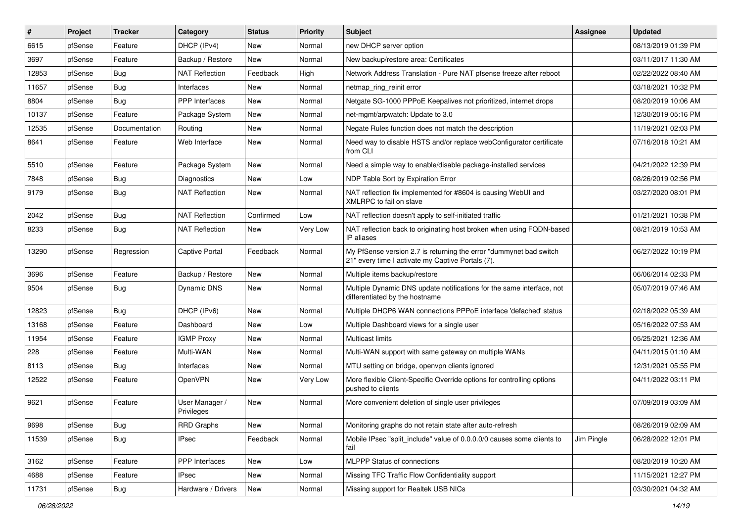| $\#$  | Project | <b>Tracker</b> | Category                     | <b>Status</b> | <b>Priority</b> | <b>Subject</b>                                                                                                          | <b>Assignee</b> | <b>Updated</b>      |
|-------|---------|----------------|------------------------------|---------------|-----------------|-------------------------------------------------------------------------------------------------------------------------|-----------------|---------------------|
| 6615  | pfSense | Feature        | DHCP (IPv4)                  | New           | Normal          | new DHCP server option                                                                                                  |                 | 08/13/2019 01:39 PM |
| 3697  | pfSense | Feature        | Backup / Restore             | <b>New</b>    | Normal          | New backup/restore area: Certificates                                                                                   |                 | 03/11/2017 11:30 AM |
| 12853 | pfSense | Bug            | <b>NAT Reflection</b>        | Feedback      | High            | Network Address Translation - Pure NAT pfsense freeze after reboot                                                      |                 | 02/22/2022 08:40 AM |
| 11657 | pfSense | <b>Bug</b>     | Interfaces                   | New           | Normal          | netmap ring reinit error                                                                                                |                 | 03/18/2021 10:32 PM |
| 8804  | pfSense | Bug            | <b>PPP</b> Interfaces        | <b>New</b>    | Normal          | Netgate SG-1000 PPPoE Keepalives not prioritized, internet drops                                                        |                 | 08/20/2019 10:06 AM |
| 10137 | pfSense | Feature        | Package System               | New           | Normal          | net-mgmt/arpwatch: Update to 3.0                                                                                        |                 | 12/30/2019 05:16 PM |
| 12535 | pfSense | Documentation  | Routing                      | <b>New</b>    | Normal          | Negate Rules function does not match the description                                                                    |                 | 11/19/2021 02:03 PM |
| 8641  | pfSense | Feature        | Web Interface                | New           | Normal          | Need way to disable HSTS and/or replace webConfigurator certificate<br>from CLI                                         |                 | 07/16/2018 10:21 AM |
| 5510  | pfSense | Feature        | Package System               | <b>New</b>    | Normal          | Need a simple way to enable/disable package-installed services                                                          |                 | 04/21/2022 12:39 PM |
| 7848  | pfSense | Bug            | <b>Diagnostics</b>           | New           | Low             | NDP Table Sort by Expiration Error                                                                                      |                 | 08/26/2019 02:56 PM |
| 9179  | pfSense | <b>Bug</b>     | <b>NAT Reflection</b>        | New           | Normal          | NAT reflection fix implemented for #8604 is causing WebUI and<br>XMLRPC to fail on slave                                |                 | 03/27/2020 08:01 PM |
| 2042  | pfSense | Bug            | <b>NAT Reflection</b>        | Confirmed     | Low             | NAT reflection doesn't apply to self-initiated traffic                                                                  |                 | 01/21/2021 10:38 PM |
| 8233  | pfSense | Bug            | <b>NAT Reflection</b>        | New           | Very Low        | NAT reflection back to originating host broken when using FQDN-based<br>IP aliases                                      |                 | 08/21/2019 10:53 AM |
| 13290 | pfSense | Regression     | <b>Captive Portal</b>        | Feedback      | Normal          | My PfSense version 2.7 is returning the error "dummynet bad switch<br>21" every time I activate my Captive Portals (7). |                 | 06/27/2022 10:19 PM |
| 3696  | pfSense | Feature        | Backup / Restore             | <b>New</b>    | Normal          | Multiple items backup/restore                                                                                           |                 | 06/06/2014 02:33 PM |
| 9504  | pfSense | <b>Bug</b>     | Dynamic DNS                  | New           | Normal          | Multiple Dynamic DNS update notifications for the same interface, not<br>differentiated by the hostname                 |                 | 05/07/2019 07:46 AM |
| 12823 | pfSense | Bug            | DHCP (IPv6)                  | <b>New</b>    | Normal          | Multiple DHCP6 WAN connections PPPoE interface 'defached' status                                                        |                 | 02/18/2022 05:39 AM |
| 13168 | pfSense | Feature        | Dashboard                    | New           | Low             | Multiple Dashboard views for a single user                                                                              |                 | 05/16/2022 07:53 AM |
| 11954 | pfSense | Feature        | <b>IGMP Proxy</b>            | New           | Normal          | <b>Multicast limits</b>                                                                                                 |                 | 05/25/2021 12:36 AM |
| 228   | pfSense | Feature        | Multi-WAN                    | New           | Normal          | Multi-WAN support with same gateway on multiple WANs                                                                    |                 | 04/11/2015 01:10 AM |
| 8113  | pfSense | Bug            | Interfaces                   | <b>New</b>    | Normal          | MTU setting on bridge, openvpn clients ignored                                                                          |                 | 12/31/2021 05:55 PM |
| 12522 | pfSense | Feature        | OpenVPN                      | New           | Very Low        | More flexible Client-Specific Override options for controlling options<br>pushed to clients                             |                 | 04/11/2022 03:11 PM |
| 9621  | pfSense | Feature        | User Manager /<br>Privileges | <b>New</b>    | Normal          | More convenient deletion of single user privileges                                                                      |                 | 07/09/2019 03:09 AM |
| 9698  | pfSense | Bug            | <b>RRD Graphs</b>            | New           | Normal          | Monitoring graphs do not retain state after auto-refresh                                                                |                 | 08/26/2019 02:09 AM |
| 11539 | pfSense | <b>Bug</b>     | <b>IPsec</b>                 | Feedback      | Normal          | Mobile IPsec "split_include" value of 0.0.0.0/0 causes some clients to<br>fail                                          | Jim Pingle      | 06/28/2022 12:01 PM |
| 3162  | pfSense | Feature        | PPP Interfaces               | New           | Low             | MLPPP Status of connections                                                                                             |                 | 08/20/2019 10:20 AM |
| 4688  | pfSense | Feature        | <b>IPsec</b>                 | New           | Normal          | Missing TFC Traffic Flow Confidentiality support                                                                        |                 | 11/15/2021 12:27 PM |
| 11731 | pfSense | Bug            | Hardware / Drivers           | New           | Normal          | Missing support for Realtek USB NICs                                                                                    |                 | 03/30/2021 04:32 AM |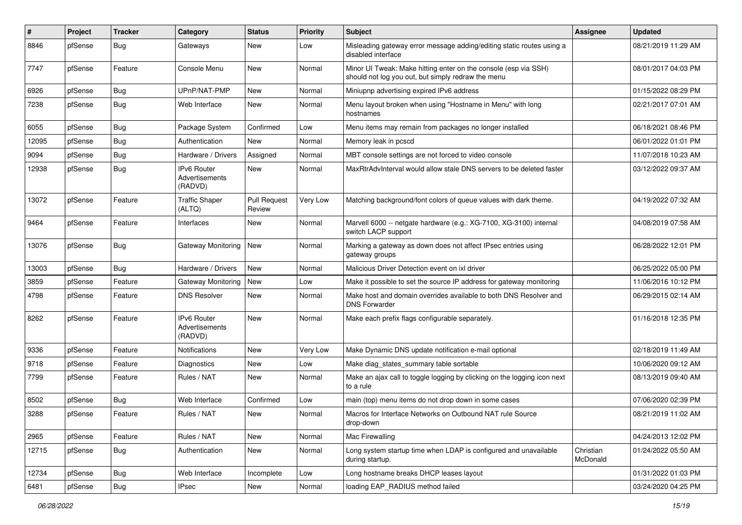| $\#$  | Project | <b>Tracker</b> | Category                                        | <b>Status</b>                 | <b>Priority</b> | Subject                                                                                                               | <b>Assignee</b>       | <b>Updated</b>      |
|-------|---------|----------------|-------------------------------------------------|-------------------------------|-----------------|-----------------------------------------------------------------------------------------------------------------------|-----------------------|---------------------|
| 8846  | pfSense | Bug            | Gateways                                        | New                           | Low             | Misleading gateway error message adding/editing static routes using a<br>disabled interface                           |                       | 08/21/2019 11:29 AM |
| 7747  | pfSense | Feature        | Console Menu                                    | New                           | Normal          | Minor UI Tweak: Make hitting enter on the console (esp via SSH)<br>should not log you out, but simply redraw the menu |                       | 08/01/2017 04:03 PM |
| 6926  | pfSense | Bug            | UPnP/NAT-PMP                                    | <b>New</b>                    | Normal          | Miniupnp advertising expired IPv6 address                                                                             |                       | 01/15/2022 08:29 PM |
| 7238  | pfSense | Bug            | Web Interface                                   | New                           | Normal          | Menu layout broken when using "Hostname in Menu" with long<br>hostnames                                               |                       | 02/21/2017 07:01 AM |
| 6055  | pfSense | Bug            | Package System                                  | Confirmed                     | Low             | Menu items may remain from packages no longer installed                                                               |                       | 06/18/2021 08:46 PM |
| 12095 | pfSense | Bug            | Authentication                                  | New                           | Normal          | Memory leak in pcscd                                                                                                  |                       | 06/01/2022 01:01 PM |
| 9094  | pfSense | <b>Bug</b>     | Hardware / Drivers                              | Assigned                      | Normal          | MBT console settings are not forced to video console                                                                  |                       | 11/07/2018 10:23 AM |
| 12938 | pfSense | Bug            | <b>IPv6 Router</b><br>Advertisements<br>(RADVD) | New                           | Normal          | MaxRtrAdvInterval would allow stale DNS servers to be deleted faster                                                  |                       | 03/12/2022 09:37 AM |
| 13072 | pfSense | Feature        | <b>Traffic Shaper</b><br>(ALTQ)                 | <b>Pull Request</b><br>Review | Very Low        | Matching background/font colors of queue values with dark theme.                                                      |                       | 04/19/2022 07:32 AM |
| 9464  | pfSense | Feature        | Interfaces                                      | <b>New</b>                    | Normal          | Marvell 6000 -- netgate hardware (e.g.: XG-7100, XG-3100) internal<br>switch LACP support                             |                       | 04/08/2019 07:58 AM |
| 13076 | pfSense | Bug            | Gateway Monitoring                              | New                           | Normal          | Marking a gateway as down does not affect IPsec entries using<br>gateway groups                                       |                       | 06/28/2022 12:01 PM |
| 13003 | pfSense | Bug            | Hardware / Drivers                              | New                           | Normal          | Malicious Driver Detection event on ixl driver                                                                        |                       | 06/25/2022 05:00 PM |
| 3859  | pfSense | Feature        | Gateway Monitoring                              | <b>New</b>                    | Low             | Make it possible to set the source IP address for gateway monitoring                                                  |                       | 11/06/2016 10:12 PM |
| 4798  | pfSense | Feature        | <b>DNS Resolver</b>                             | New                           | Normal          | Make host and domain overrides available to both DNS Resolver and<br><b>DNS Forwarder</b>                             |                       | 06/29/2015 02:14 AM |
| 8262  | pfSense | Feature        | <b>IPv6 Router</b><br>Advertisements<br>(RADVD) | <b>New</b>                    | Normal          | Make each prefix flags configurable separately.                                                                       |                       | 01/16/2018 12:35 PM |
| 9336  | pfSense | Feature        | <b>Notifications</b>                            | <b>New</b>                    | Very Low        | Make Dynamic DNS update notification e-mail optional                                                                  |                       | 02/18/2019 11:49 AM |
| 9718  | pfSense | Feature        | Diagnostics                                     | New                           | Low             | Make diag states summary table sortable                                                                               |                       | 10/06/2020 09:12 AM |
| 7799  | pfSense | Feature        | Rules / NAT                                     | New                           | Normal          | Make an ajax call to toggle logging by clicking on the logging icon next<br>to a rule                                 |                       | 08/13/2019 09:40 AM |
| 8502  | pfSense | Bug            | Web Interface                                   | Confirmed                     | Low             | main (top) menu items do not drop down in some cases                                                                  |                       | 07/06/2020 02:39 PM |
| 3288  | pfSense | Feature        | Rules / NAT                                     | New                           | Normal          | Macros for Interface Networks on Outbound NAT rule Source<br>drop-down                                                |                       | 08/21/2019 11:02 AM |
| 2965  | pfSense | Feature        | Rules / NAT                                     | New                           | Normal          | Mac Firewalling                                                                                                       |                       | 04/24/2013 12:02 PM |
| 12715 | pfSense | <b>Bug</b>     | Authentication                                  | New                           | Normal          | Long system startup time when LDAP is configured and unavailable<br>during startup.                                   | Christian<br>McDonald | 01/24/2022 05:50 AM |
| 12734 | pfSense | Bug            | Web Interface                                   | Incomplete                    | Low             | Long hostname breaks DHCP leases layout                                                                               |                       | 01/31/2022 01:03 PM |
| 6481  | pfSense | <b>Bug</b>     | <b>IPsec</b>                                    | New                           | Normal          | loading EAP_RADIUS method failed                                                                                      |                       | 03/24/2020 04:25 PM |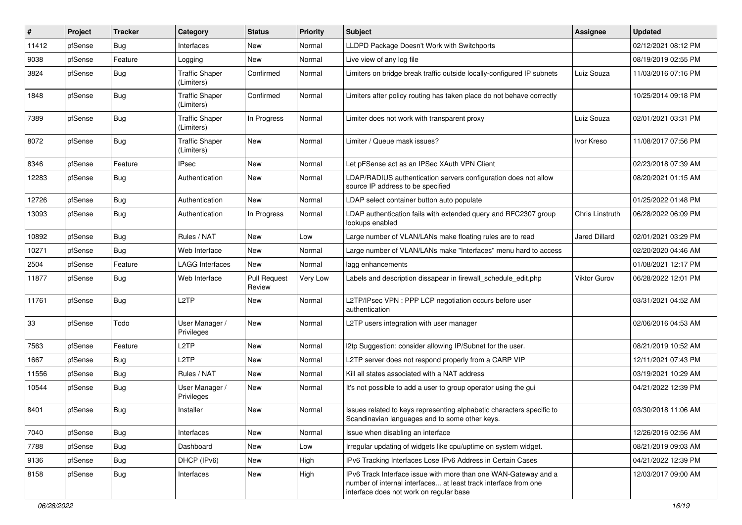| #     | Project | <b>Tracker</b> | Category                            | <b>Status</b>                 | <b>Priority</b> | Subject                                                                                                                                                                       | <b>Assignee</b> | <b>Updated</b>      |
|-------|---------|----------------|-------------------------------------|-------------------------------|-----------------|-------------------------------------------------------------------------------------------------------------------------------------------------------------------------------|-----------------|---------------------|
| 11412 | pfSense | Bug            | Interfaces                          | New                           | Normal          | LLDPD Package Doesn't Work with Switchports                                                                                                                                   |                 | 02/12/2021 08:12 PM |
| 9038  | pfSense | Feature        | Logging                             | New                           | Normal          | Live view of any log file                                                                                                                                                     |                 | 08/19/2019 02:55 PM |
| 3824  | pfSense | Bug            | <b>Traffic Shaper</b><br>(Limiters) | Confirmed                     | Normal          | Limiters on bridge break traffic outside locally-configured IP subnets                                                                                                        | Luiz Souza      | 11/03/2016 07:16 PM |
| 1848  | pfSense | Bug            | <b>Traffic Shaper</b><br>(Limiters) | Confirmed                     | Normal          | Limiters after policy routing has taken place do not behave correctly                                                                                                         |                 | 10/25/2014 09:18 PM |
| 7389  | pfSense | Bug            | <b>Traffic Shaper</b><br>(Limiters) | In Progress                   | Normal          | Limiter does not work with transparent proxy                                                                                                                                  | Luiz Souza      | 02/01/2021 03:31 PM |
| 8072  | pfSense | Bug            | Traffic Shaper<br>(Limiters)        | <b>New</b>                    | Normal          | Limiter / Queue mask issues?                                                                                                                                                  | Ivor Kreso      | 11/08/2017 07:56 PM |
| 8346  | pfSense | Feature        | <b>IPsec</b>                        | <b>New</b>                    | Normal          | Let pFSense act as an IPSec XAuth VPN Client                                                                                                                                  |                 | 02/23/2018 07:39 AM |
| 12283 | pfSense | Bug            | Authentication                      | New                           | Normal          | LDAP/RADIUS authentication servers configuration does not allow<br>source IP address to be specified                                                                          |                 | 08/20/2021 01:15 AM |
| 12726 | pfSense | Bug            | Authentication                      | New                           | Normal          | LDAP select container button auto populate                                                                                                                                    |                 | 01/25/2022 01:48 PM |
| 13093 | pfSense | Bug            | Authentication                      | In Progress                   | Normal          | LDAP authentication fails with extended query and RFC2307 group<br>lookups enabled                                                                                            | Chris Linstruth | 06/28/2022 06:09 PM |
| 10892 | pfSense | Bug            | Rules / NAT                         | New                           | Low             | Large number of VLAN/LANs make floating rules are to read                                                                                                                     | Jared Dillard   | 02/01/2021 03:29 PM |
| 10271 | pfSense | Bug            | Web Interface                       | New                           | Normal          | Large number of VLAN/LANs make "Interfaces" menu hard to access                                                                                                               |                 | 02/20/2020 04:46 AM |
| 2504  | pfSense | Feature        | <b>LAGG Interfaces</b>              | <b>New</b>                    | Normal          | lagg enhancements                                                                                                                                                             |                 | 01/08/2021 12:17 PM |
| 11877 | pfSense | Bug            | Web Interface                       | <b>Pull Request</b><br>Review | Very Low        | Labels and description dissapear in firewall schedule edit.php                                                                                                                | Viktor Gurov    | 06/28/2022 12:01 PM |
| 11761 | pfSense | Bug            | L <sub>2</sub> TP                   | <b>New</b>                    | Normal          | L2TP/IPsec VPN : PPP LCP negotiation occurs before user<br>authentication                                                                                                     |                 | 03/31/2021 04:52 AM |
| 33    | pfSense | Todo           | User Manager /<br>Privileges        | New                           | Normal          | L2TP users integration with user manager                                                                                                                                      |                 | 02/06/2016 04:53 AM |
| 7563  | pfSense | Feature        | L2TP                                | New                           | Normal          | I2tp Suggestion: consider allowing IP/Subnet for the user.                                                                                                                    |                 | 08/21/2019 10:52 AM |
| 1667  | pfSense | Bug            | L <sub>2</sub> TP                   | New                           | Normal          | L2TP server does not respond properly from a CARP VIP                                                                                                                         |                 | 12/11/2021 07:43 PM |
| 11556 | pfSense | Bug            | Rules / NAT                         | New                           | Normal          | Kill all states associated with a NAT address                                                                                                                                 |                 | 03/19/2021 10:29 AM |
| 10544 | pfSense | Bug            | User Manager /<br>Privileges        | New                           | Normal          | It's not possible to add a user to group operator using the gui                                                                                                               |                 | 04/21/2022 12:39 PM |
| 8401  | pfSense | Bug            | Installer                           | New                           | Normal          | Issues related to keys representing alphabetic characters specific to<br>Scandinavian languages and to some other keys.                                                       |                 | 03/30/2018 11:06 AM |
| 7040  | pfSense | Bug            | Interfaces                          | New                           | Normal          | Issue when disabling an interface                                                                                                                                             |                 | 12/26/2016 02:56 AM |
| 7788  | pfSense | <b>Bug</b>     | Dashboard                           | New                           | Low             | Irregular updating of widgets like cpu/uptime on system widget.                                                                                                               |                 | 08/21/2019 09:03 AM |
| 9136  | pfSense | Bug            | DHCP (IPv6)                         | New                           | High            | IPv6 Tracking Interfaces Lose IPv6 Address in Certain Cases                                                                                                                   |                 | 04/21/2022 12:39 PM |
| 8158  | pfSense | <b>Bug</b>     | Interfaces                          | New                           | High            | IPv6 Track Interface issue with more than one WAN-Gateway and a<br>number of internal interfaces at least track interface from one<br>interface does not work on regular base |                 | 12/03/2017 09:00 AM |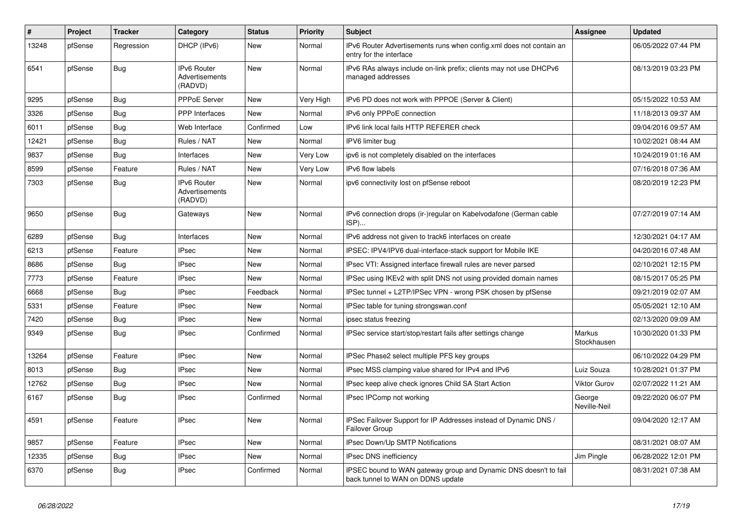| $\pmb{\#}$ | Project | <b>Tracker</b> | Category                                 | <b>Status</b> | <b>Priority</b> | <b>Subject</b>                                                                                        | Assignee               | <b>Updated</b>      |
|------------|---------|----------------|------------------------------------------|---------------|-----------------|-------------------------------------------------------------------------------------------------------|------------------------|---------------------|
| 13248      | pfSense | Regression     | DHCP (IPv6)                              | <b>New</b>    | Normal          | IPv6 Router Advertisements runs when config.xml does not contain an<br>entry for the interface        |                        | 06/05/2022 07:44 PM |
| 6541       | pfSense | Bug            | IPv6 Router<br>Advertisements<br>(RADVD) | <b>New</b>    | Normal          | IPv6 RAs always include on-link prefix; clients may not use DHCPv6<br>managed addresses               |                        | 08/13/2019 03:23 PM |
| 9295       | pfSense | Bug            | PPPoE Server                             | New           | Very High       | IPv6 PD does not work with PPPOE (Server & Client)                                                    |                        | 05/15/2022 10:53 AM |
| 3326       | pfSense | <b>Bug</b>     | <b>PPP</b> Interfaces                    | <b>New</b>    | Normal          | IPv6 only PPPoE connection                                                                            |                        | 11/18/2013 09:37 AM |
| 6011       | pfSense | <b>Bug</b>     | Web Interface                            | Confirmed     | Low             | IPv6 link local fails HTTP REFERER check                                                              |                        | 09/04/2016 09:57 AM |
| 12421      | pfSense | Bug            | Rules / NAT                              | New           | Normal          | IPV6 limiter bug                                                                                      |                        | 10/02/2021 08:44 AM |
| 9837       | pfSense | Bug            | Interfaces                               | New           | Very Low        | ipv6 is not completely disabled on the interfaces                                                     |                        | 10/24/2019 01:16 AM |
| 8599       | pfSense | Feature        | Rules / NAT                              | New           | Very Low        | IPv6 flow labels                                                                                      |                        | 07/16/2018 07:36 AM |
| 7303       | pfSense | <b>Bug</b>     | IPv6 Router<br>Advertisements<br>(RADVD) | <b>New</b>    | Normal          | ipv6 connectivity lost on pfSense reboot                                                              |                        | 08/20/2019 12:23 PM |
| 9650       | pfSense | <b>Bug</b>     | Gateways                                 | <b>New</b>    | Normal          | IPv6 connection drops (ir-)regular on Kabelvodafone (German cable<br>$ISP)$                           |                        | 07/27/2019 07:14 AM |
| 6289       | pfSense | <b>Bug</b>     | Interfaces                               | <b>New</b>    | Normal          | IPv6 address not given to track6 interfaces on create                                                 |                        | 12/30/2021 04:17 AM |
| 6213       | pfSense | Feature        | <b>IPsec</b>                             | New           | Normal          | IPSEC: IPV4/IPV6 dual-interface-stack support for Mobile IKE                                          |                        | 04/20/2016 07:48 AM |
| 8686       | pfSense | Bug            | <b>IPsec</b>                             | <b>New</b>    | Normal          | IPsec VTI: Assigned interface firewall rules are never parsed                                         |                        | 02/10/2021 12:15 PM |
| 7773       | pfSense | Feature        | <b>IPsec</b>                             | New           | Normal          | IPSec using IKEv2 with split DNS not using provided domain names                                      |                        | 08/15/2017 05:25 PM |
| 6668       | pfSense | Bug            | <b>IPsec</b>                             | Feedback      | Normal          | IPSec tunnel + L2TP/IPSec VPN - wrong PSK chosen by pfSense                                           |                        | 09/21/2019 02:07 AM |
| 5331       | pfSense | Feature        | <b>IPsec</b>                             | <b>New</b>    | Normal          | IPSec table for tuning strongswan.conf                                                                |                        | 05/05/2021 12:10 AM |
| 7420       | pfSense | <b>Bug</b>     | <b>IPsec</b>                             | New           | Normal          | ipsec status freezing                                                                                 |                        | 02/13/2020 09:09 AM |
| 9349       | pfSense | Bug            | <b>IPsec</b>                             | Confirmed     | Normal          | IPSec service start/stop/restart fails after settings change                                          | Markus<br>Stockhausen  | 10/30/2020 01:33 PM |
| 13264      | pfSense | Feature        | <b>IPsec</b>                             | <b>New</b>    | Normal          | IPSec Phase2 select multiple PFS key groups                                                           |                        | 06/10/2022 04:29 PM |
| 8013       | pfSense | Bug            | <b>IPsec</b>                             | New           | Normal          | IPsec MSS clamping value shared for IPv4 and IPv6                                                     | Luiz Souza             | 10/28/2021 01:37 PM |
| 12762      | pfSense | <b>Bug</b>     | IPsec                                    | <b>New</b>    | Normal          | IPsec keep alive check ignores Child SA Start Action                                                  | Viktor Gurov           | 02/07/2022 11:21 AM |
| 6167       | pfSense | Bug            | <b>IPsec</b>                             | Confirmed     | Normal          | IPsec IPComp not working                                                                              | George<br>Neville-Neil | 09/22/2020 06:07 PM |
| 4591       | pfSense | Feature        | <b>IPsec</b>                             | <b>New</b>    | Normal          | IPSec Failover Support for IP Addresses instead of Dynamic DNS /<br>Failover Group                    |                        | 09/04/2020 12:17 AM |
| 9857       | pfSense | Feature        | <b>IPsec</b>                             | <b>New</b>    | Normal          | IPsec Down/Up SMTP Notifications                                                                      |                        | 08/31/2021 08:07 AM |
| 12335      | pfSense | Bug            | <b>IPsec</b>                             | New           | Normal          | <b>IPsec DNS inefficiency</b>                                                                         | Jim Pingle             | 06/28/2022 12:01 PM |
| 6370       | pfSense | <b>Bug</b>     | <b>IPsec</b>                             | Confirmed     | Normal          | IPSEC bound to WAN gateway group and Dynamic DNS doesn't to fail<br>back tunnel to WAN on DDNS update |                        | 08/31/2021 07:38 AM |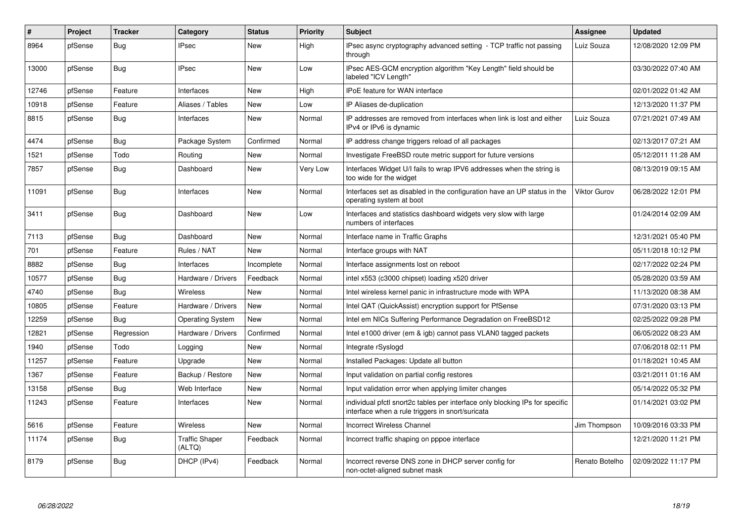| $\#$  | Project | <b>Tracker</b> | Category                        | <b>Status</b> | <b>Priority</b> | <b>Subject</b>                                                                                                                   | <b>Assignee</b> | <b>Updated</b>      |
|-------|---------|----------------|---------------------------------|---------------|-----------------|----------------------------------------------------------------------------------------------------------------------------------|-----------------|---------------------|
| 8964  | pfSense | Bug            | <b>IPsec</b>                    | <b>New</b>    | High            | IPsec async cryptography advanced setting - TCP traffic not passing<br>through                                                   | Luiz Souza      | 12/08/2020 12:09 PM |
| 13000 | pfSense | Bug            | <b>IPsec</b>                    | <b>New</b>    | Low             | IPsec AES-GCM encryption algorithm "Key Length" field should be<br>labeled "ICV Length"                                          |                 | 03/30/2022 07:40 AM |
| 12746 | pfSense | Feature        | Interfaces                      | <b>New</b>    | High            | <b>IPoE</b> feature for WAN interface                                                                                            |                 | 02/01/2022 01:42 AM |
| 10918 | pfSense | Feature        | Aliases / Tables                | New           | Low             | IP Aliases de-duplication                                                                                                        |                 | 12/13/2020 11:37 PM |
| 8815  | pfSense | Bug            | Interfaces                      | <b>New</b>    | Normal          | IP addresses are removed from interfaces when link is lost and either<br>IPv4 or IPv6 is dynamic                                 | Luiz Souza      | 07/21/2021 07:49 AM |
| 4474  | pfSense | Bug            | Package System                  | Confirmed     | Normal          | IP address change triggers reload of all packages                                                                                |                 | 02/13/2017 07:21 AM |
| 1521  | pfSense | Todo           | Routing                         | <b>New</b>    | Normal          | Investigate FreeBSD route metric support for future versions                                                                     |                 | 05/12/2011 11:28 AM |
| 7857  | pfSense | <b>Bug</b>     | Dashboard                       | <b>New</b>    | Very Low        | Interfaces Widget U/I fails to wrap IPV6 addresses when the string is<br>too wide for the widget                                 |                 | 08/13/2019 09:15 AM |
| 11091 | pfSense | Bug            | Interfaces                      | New           | Normal          | Interfaces set as disabled in the configuration have an UP status in the<br>operating system at boot                             | Viktor Gurov    | 06/28/2022 12:01 PM |
| 3411  | pfSense | <b>Bug</b>     | Dashboard                       | <b>New</b>    | Low             | Interfaces and statistics dashboard widgets very slow with large<br>numbers of interfaces                                        |                 | 01/24/2014 02:09 AM |
| 7113  | pfSense | Bug            | Dashboard                       | <b>New</b>    | Normal          | Interface name in Traffic Graphs                                                                                                 |                 | 12/31/2021 05:40 PM |
| 701   | pfSense | Feature        | Rules / NAT                     | New           | Normal          | Interface groups with NAT                                                                                                        |                 | 05/11/2018 10:12 PM |
| 8882  | pfSense | <b>Bug</b>     | Interfaces                      | Incomplete    | Normal          | Interface assignments lost on reboot                                                                                             |                 | 02/17/2022 02:24 PM |
| 10577 | pfSense | Bug            | Hardware / Drivers              | Feedback      | Normal          | intel x553 (c3000 chipset) loading x520 driver                                                                                   |                 | 05/28/2020 03:59 AM |
| 4740  | pfSense | <b>Bug</b>     | <b>Wireless</b>                 | New           | Normal          | Intel wireless kernel panic in infrastructure mode with WPA                                                                      |                 | 11/13/2020 08:38 AM |
| 10805 | pfSense | Feature        | Hardware / Drivers              | New           | Normal          | Intel QAT (QuickAssist) encryption support for PfSense                                                                           |                 | 07/31/2020 03:13 PM |
| 12259 | pfSense | Bug            | <b>Operating System</b>         | <b>New</b>    | Normal          | Intel em NICs Suffering Performance Degradation on FreeBSD12                                                                     |                 | 02/25/2022 09:28 PM |
| 12821 | pfSense | Regression     | Hardware / Drivers              | Confirmed     | Normal          | Intel e1000 driver (em & igb) cannot pass VLAN0 tagged packets                                                                   |                 | 06/05/2022 08:23 AM |
| 1940  | pfSense | Todo           | Logging                         | New           | Normal          | Integrate rSyslogd                                                                                                               |                 | 07/06/2018 02:11 PM |
| 11257 | pfSense | Feature        | Upgrade                         | <b>New</b>    | Normal          | Installed Packages: Update all button                                                                                            |                 | 01/18/2021 10:45 AM |
| 1367  | pfSense | Feature        | Backup / Restore                | <b>New</b>    | Normal          | Input validation on partial config restores                                                                                      |                 | 03/21/2011 01:16 AM |
| 13158 | pfSense | <b>Bug</b>     | Web Interface                   | New           | Normal          | Input validation error when applying limiter changes                                                                             |                 | 05/14/2022 05:32 PM |
| 11243 | pfSense | Feature        | Interfaces                      | <b>New</b>    | Normal          | individual pfctl snort2c tables per interface only blocking IPs for specific<br>interface when a rule triggers in snort/suricata |                 | 01/14/2021 03:02 PM |
| 5616  | pfSense | Feature        | <b>Wireless</b>                 | <b>New</b>    | Normal          | <b>Incorrect Wireless Channel</b>                                                                                                | Jim Thompson    | 10/09/2016 03:33 PM |
| 11174 | pfSense | Bug            | <b>Traffic Shaper</b><br>(ALTQ) | Feedback      | Normal          | Incorrect traffic shaping on pppoe interface                                                                                     |                 | 12/21/2020 11:21 PM |
| 8179  | pfSense | <b>Bug</b>     | DHCP (IPv4)                     | Feedback      | Normal          | Incorrect reverse DNS zone in DHCP server config for<br>non-octet-aligned subnet mask                                            | Renato Botelho  | 02/09/2022 11:17 PM |